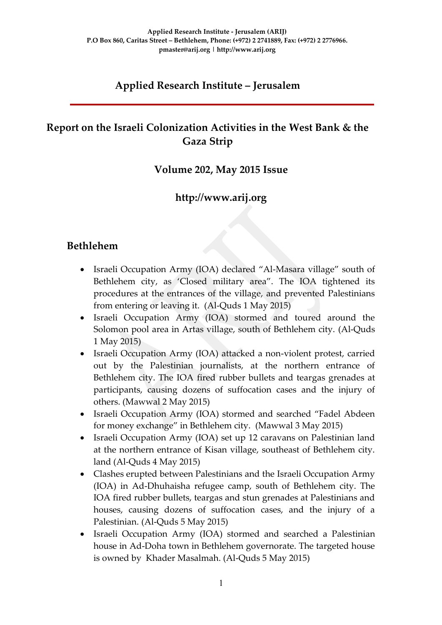## **Applied Research Institute – Jerusalem**

## **Report on the Israeli Colonization Activities in the West Bank & the Gaza Strip**

### **Volume 202, May 2015 Issue**

### **http://www.arij.org**

### **Bethlehem**

- Israeli Occupation Army (IOA) declared "Al-Masara village" south of Bethlehem city, as 'Closed military area". The IOA tightened its procedures at the entrances of the village, and prevented Palestinians from entering or leaving it. (Al-Quds 1 May 2015)
- Israeli Occupation Army (IOA) stormed and toured around the Solomon pool area in Artas village, south of Bethlehem city. (Al-Quds 1 May 2015)
- Israeli Occupation Army (IOA) attacked a non-violent protest, carried out by the Palestinian journalists, at the northern entrance of Bethlehem city. The IOA fired rubber bullets and teargas grenades at participants, causing dozens of suffocation cases and the injury of others. (Mawwal 2 May 2015)
- Israeli Occupation Army (IOA) stormed and searched "Fadel Abdeen for money exchange" in Bethlehem city. (Mawwal 3 May 2015)
- Israeli Occupation Army (IOA) set up 12 caravans on Palestinian land at the northern entrance of Kisan village, southeast of Bethlehem city. land (Al-Quds 4 May 2015)
- Clashes erupted between Palestinians and the Israeli Occupation Army (IOA) in Ad-Dhuhaisha refugee camp, south of Bethlehem city. The IOA fired rubber bullets, teargas and stun grenades at Palestinians and houses, causing dozens of suffocation cases, and the injury of a Palestinian. (Al-Quds 5 May 2015)
- Israeli Occupation Army (IOA) stormed and searched a Palestinian house in Ad-Doha town in Bethlehem governorate. The targeted house is owned by Khader Masalmah. (Al-Quds 5 May 2015)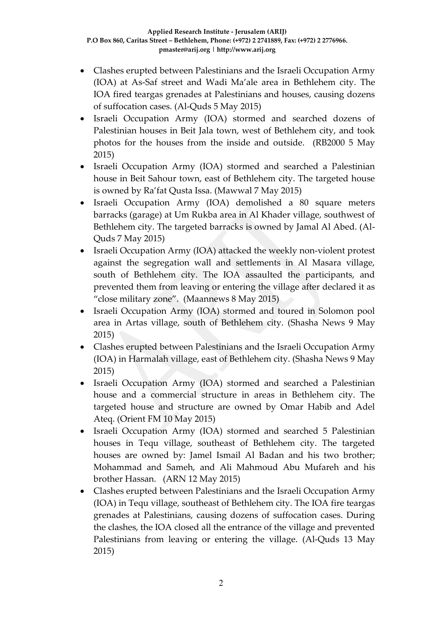- Clashes erupted between Palestinians and the Israeli Occupation Army (IOA) at As-Saf street and Wadi Ma'ale area in Bethlehem city. The IOA fired teargas grenades at Palestinians and houses, causing dozens of suffocation cases. (Al-Quds 5 May 2015)
- Israeli Occupation Army (IOA) stormed and searched dozens of Palestinian houses in Beit Jala town, west of Bethlehem city, and took photos for the houses from the inside and outside. (RB2000 5 May 2015)
- Israeli Occupation Army (IOA) stormed and searched a Palestinian house in Beit Sahour town, east of Bethlehem city. The targeted house is owned by Ra'fat Qusta Issa. (Mawwal 7 May 2015)
- Israeli Occupation Army (IOA) demolished a 80 square meters barracks (garage) at Um Rukba area in Al Khader village, southwest of Bethlehem city. The targeted barracks is owned by Jamal Al Abed. (Al-Quds 7 May 2015)
- Israeli Occupation Army (IOA) attacked the weekly non-violent protest against the segregation wall and settlements in Al Masara village, south of Bethlehem city. The IOA assaulted the participants, and prevented them from leaving or entering the village after declared it as "close military zone". (Maannews 8 May 2015)
- Israeli Occupation Army (IOA) stormed and toured in Solomon pool area in Artas village, south of Bethlehem city. (Shasha News 9 May 2015)
- Clashes erupted between Palestinians and the Israeli Occupation Army (IOA) in Harmalah village, east of Bethlehem city. (Shasha News 9 May 2015)
- Israeli Occupation Army (IOA) stormed and searched a Palestinian house and a commercial structure in areas in Bethlehem city. The targeted house and structure are owned by Omar Habib and Adel Ateq. (Orient FM 10 May 2015)
- Israeli Occupation Army (IOA) stormed and searched 5 Palestinian houses in Tequ village, southeast of Bethlehem city. The targeted houses are owned by: Jamel Ismail Al Badan and his two brother; Mohammad and Sameh, and Ali Mahmoud Abu Mufareh and his brother Hassan. (ARN 12 May 2015)
- Clashes erupted between Palestinians and the Israeli Occupation Army (IOA) in Tequ village, southeast of Bethlehem city. The IOA fire teargas grenades at Palestinians, causing dozens of suffocation cases. During the clashes, the IOA closed all the entrance of the village and prevented Palestinians from leaving or entering the village. (Al-Quds 13 May 2015)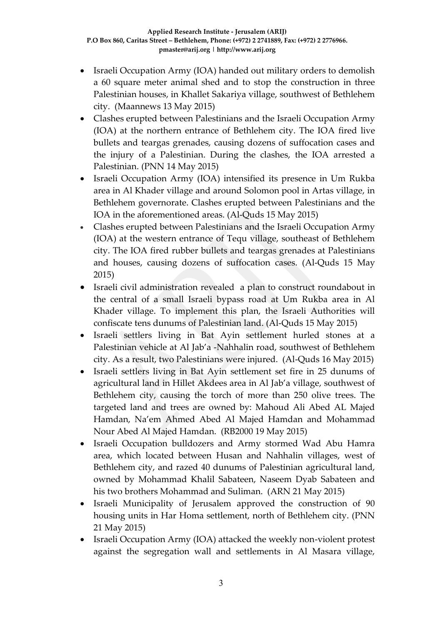- Israeli Occupation Army (IOA) handed out military orders to demolish a 60 square meter animal shed and to stop the construction in three Palestinian houses, in Khallet Sakariya village, southwest of Bethlehem city. (Maannews 13 May 2015)
- Clashes erupted between Palestinians and the Israeli Occupation Army (IOA) at the northern entrance of Bethlehem city. The IOA fired live bullets and teargas grenades, causing dozens of suffocation cases and the injury of a Palestinian. During the clashes, the IOA arrested a Palestinian. (PNN 14 May 2015)
- Israeli Occupation Army (IOA) intensified its presence in Um Rukba area in Al Khader village and around Solomon pool in Artas village, in Bethlehem governorate. Clashes erupted between Palestinians and the IOA in the aforementioned areas. (Al-Quds 15 May 2015)
- Clashes erupted between Palestinians and the Israeli Occupation Army (IOA) at the western entrance of Tequ village, southeast of Bethlehem city. The IOA fired rubber bullets and teargas grenades at Palestinians and houses, causing dozens of suffocation cases. (Al-Quds 15 May 2015)
- Israeli civil administration revealed a plan to construct roundabout in the central of a small Israeli bypass road at Um Rukba area in Al Khader village. To implement this plan, the Israeli Authorities will confiscate tens dunums of Palestinian land. (Al-Quds 15 May 2015)
- Israeli settlers living in Bat Ayin settlement hurled stones at a Palestinian vehicle at Al Jab'a -Nahhalin road, southwest of Bethlehem city. As a result, two Palestinians were injured. (Al-Quds 16 May 2015)
- Israeli settlers living in Bat Ayin settlement set fire in 25 dunums of agricultural land in Hillet Akdees area in Al Jab'a village, southwest of Bethlehem city, causing the torch of more than 250 olive trees. The targeted land and trees are owned by: Mahoud Ali Abed AL Majed Hamdan, Na'em Ahmed Abed Al Majed Hamdan and Mohammad Nour Abed Al Majed Hamdan. (RB2000 19 May 2015)
- Israeli Occupation bulldozers and Army stormed Wad Abu Hamra area, which located between Husan and Nahhalin villages, west of Bethlehem city, and razed 40 dunums of Palestinian agricultural land, owned by Mohammad Khalil Sabateen, Naseem Dyab Sabateen and his two brothers Mohammad and Suliman. (ARN 21 May 2015)
- Israeli Municipality of Jerusalem approved the construction of 90 housing units in Har Homa settlement, north of Bethlehem city. (PNN 21 May 2015)
- Israeli Occupation Army (IOA) attacked the weekly non-violent protest against the segregation wall and settlements in Al Masara village,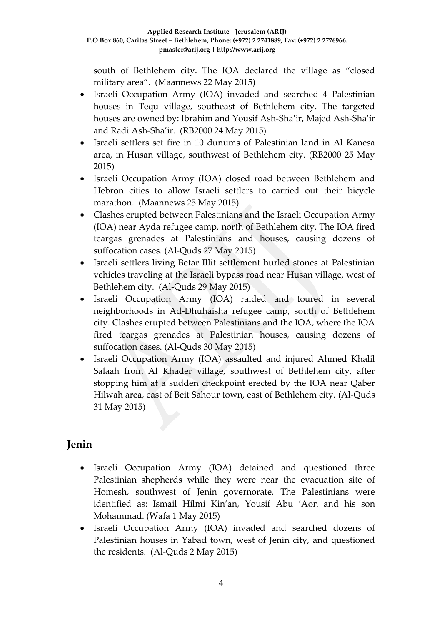south of Bethlehem city. The IOA declared the village as "closed military area". (Maannews 22 May 2015)

- Israeli Occupation Army (IOA) invaded and searched 4 Palestinian houses in Tequ village, southeast of Bethlehem city. The targeted houses are owned by: Ibrahim and Yousif Ash-Sha'ir, Majed Ash-Sha'ir and Radi Ash-Sha'ir. (RB2000 24 May 2015)
- Israeli settlers set fire in 10 dunums of Palestinian land in Al Kanesa area, in Husan village, southwest of Bethlehem city. (RB2000 25 May 2015)
- Israeli Occupation Army (IOA) closed road between Bethlehem and Hebron cities to allow Israeli settlers to carried out their bicycle marathon. (Maannews 25 May 2015)
- Clashes erupted between Palestinians and the Israeli Occupation Army (IOA) near Ayda refugee camp, north of Bethlehem city. The IOA fired teargas grenades at Palestinians and houses, causing dozens of suffocation cases. (Al-Quds 27 May 2015)
- Israeli settlers living Betar Illit settlement hurled stones at Palestinian vehicles traveling at the Israeli bypass road near Husan village, west of Bethlehem city. (Al-Quds 29 May 2015)
- Israeli Occupation Army (IOA) raided and toured in several neighborhoods in Ad-Dhuhaisha refugee camp, south of Bethlehem city. Clashes erupted between Palestinians and the IOA, where the IOA fired teargas grenades at Palestinian houses, causing dozens of suffocation cases. (Al-Quds 30 May 2015)
- Israeli Occupation Army (IOA) assaulted and injured Ahmed Khalil Salaah from Al Khader village, southwest of Bethlehem city, after stopping him at a sudden checkpoint erected by the IOA near Qaber Hilwah area, east of Beit Sahour town, east of Bethlehem city. (Al-Quds 31 May 2015)

## **Jenin**

- Israeli Occupation Army (IOA) detained and questioned three Palestinian shepherds while they were near the evacuation site of Homesh, southwest of Jenin governorate. The Palestinians were identified as: Ismail Hilmi Kin'an, Yousif Abu 'Aon and his son Mohammad. (Wafa 1 May 2015)
- Israeli Occupation Army (IOA) invaded and searched dozens of Palestinian houses in Yabad town, west of Jenin city, and questioned the residents. (Al-Quds 2 May 2015)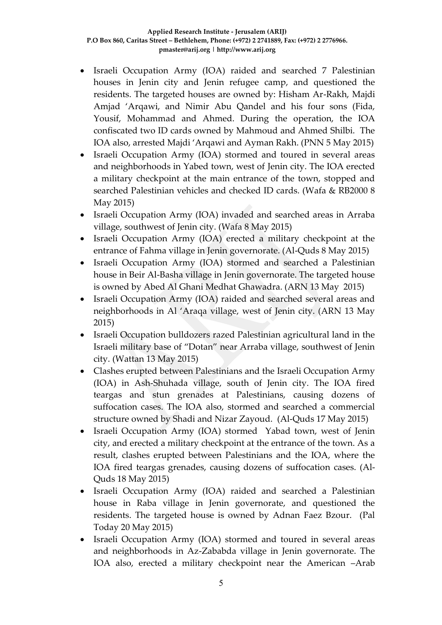- Israeli Occupation Army (IOA) raided and searched 7 Palestinian houses in Jenin city and Jenin refugee camp, and questioned the residents. The targeted houses are owned by: Hisham Ar-Rakh, Majdi Amjad 'Arqawi, and Nimir Abu Qandel and his four sons (Fida, Yousif, Mohammad and Ahmed. During the operation, the IOA confiscated two ID cards owned by Mahmoud and Ahmed Shilbi. The IOA also, arrested Majdi 'Arqawi and Ayman Rakh. (PNN 5 May 2015)
- Israeli Occupation Army (IOA) stormed and toured in several areas and neighborhoods in Yabed town, west of Jenin city. The IOA erected a military checkpoint at the main entrance of the town, stopped and searched Palestinian vehicles and checked ID cards. (Wafa & RB2000 8 May 2015)
- Israeli Occupation Army (IOA) invaded and searched areas in Arraba village, southwest of Jenin city. (Wafa 8 May 2015)
- Israeli Occupation Army (IOA) erected a military checkpoint at the entrance of Fahma village in Jenin governorate. (Al-Quds 8 May 2015)
- Israeli Occupation Army (IOA) stormed and searched a Palestinian house in Beir Al-Basha village in Jenin governorate. The targeted house is owned by Abed Al Ghani Medhat Ghawadra. (ARN 13 May 2015)
- Israeli Occupation Army (IOA) raided and searched several areas and neighborhoods in Al 'Araqa village, west of Jenin city. (ARN 13 May 2015)
- Israeli Occupation bulldozers razed Palestinian agricultural land in the Israeli military base of "Dotan" near Arraba village, southwest of Jenin city. (Wattan 13 May 2015)
- Clashes erupted between Palestinians and the Israeli Occupation Army (IOA) in Ash-Shuhada village, south of Jenin city. The IOA fired teargas and stun grenades at Palestinians, causing dozens of suffocation cases. The IOA also, stormed and searched a commercial structure owned by Shadi and Nizar Zayoud. (Al-Quds 17 May 2015)
- Israeli Occupation Army (IOA) stormed Yabad town, west of Jenin city, and erected a military checkpoint at the entrance of the town. As a result, clashes erupted between Palestinians and the IOA, where the IOA fired teargas grenades, causing dozens of suffocation cases. (Al-Quds 18 May 2015)
- Israeli Occupation Army (IOA) raided and searched a Palestinian house in Raba village in Jenin governorate, and questioned the residents. The targeted house is owned by Adnan Faez Bzour. (Pal Today 20 May 2015)
- Israeli Occupation Army (IOA) stormed and toured in several areas and neighborhoods in Az-Zababda village in Jenin governorate. The IOA also, erected a military checkpoint near the American –Arab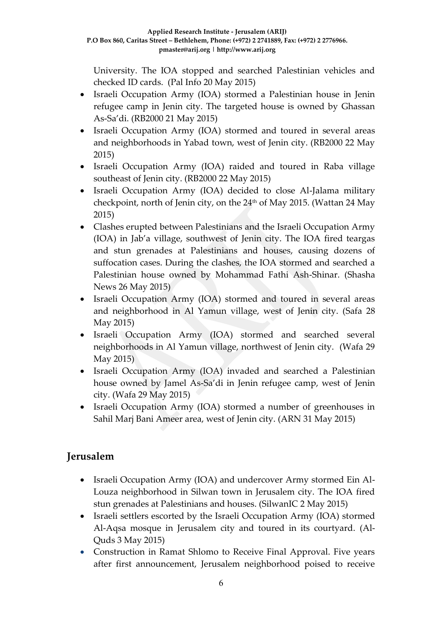University. The IOA stopped and searched Palestinian vehicles and checked ID cards. (Pal Info 20 May 2015)

- Israeli Occupation Army (IOA) stormed a Palestinian house in Jenin refugee camp in Jenin city. The targeted house is owned by Ghassan As-Sa'di. (RB2000 21 May 2015)
- Israeli Occupation Army (IOA) stormed and toured in several areas and neighborhoods in Yabad town, west of Jenin city. (RB2000 22 May 2015)
- Israeli Occupation Army (IOA) raided and toured in Raba village southeast of Jenin city. (RB2000 22 May 2015)
- Israeli Occupation Army (IOA) decided to close Al-Jalama military checkpoint, north of Jenin city, on the  $24<sup>th</sup>$  of May 2015. (Wattan 24 May 2015)
- Clashes erupted between Palestinians and the Israeli Occupation Army (IOA) in Jab'a village, southwest of Jenin city. The IOA fired teargas and stun grenades at Palestinians and houses, causing dozens of suffocation cases. During the clashes, the IOA stormed and searched a Palestinian house owned by Mohammad Fathi Ash-Shinar. (Shasha News 26 May 2015)
- Israeli Occupation Army (IOA) stormed and toured in several areas and neighborhood in Al Yamun village, west of Jenin city. (Safa 28 May 2015)
- Israeli Occupation Army (IOA) stormed and searched several neighborhoods in Al Yamun village, northwest of Jenin city. (Wafa 29 May 2015)
- Israeli Occupation Army (IOA) invaded and searched a Palestinian house owned by Jamel As-Sa'di in Jenin refugee camp, west of Jenin city. (Wafa 29 May 2015)
- Israeli Occupation Army (IOA) stormed a number of greenhouses in Sahil Marj Bani Ameer area, west of Jenin city. (ARN 31 May 2015)

## **Jerusalem**

- Israeli Occupation Army (IOA) and undercover Army stormed Ein Al-Louza neighborhood in Silwan town in Jerusalem city. The IOA fired stun grenades at Palestinians and houses. (SilwanIC 2 May 2015)
- Israeli settlers escorted by the Israeli Occupation Army (IOA) stormed Al-Aqsa mosque in Jerusalem city and toured in its courtyard. (Al-Quds 3 May 2015)
- Construction in Ramat Shlomo to Receive Final Approval. Five years after first announcement, Jerusalem neighborhood poised to receive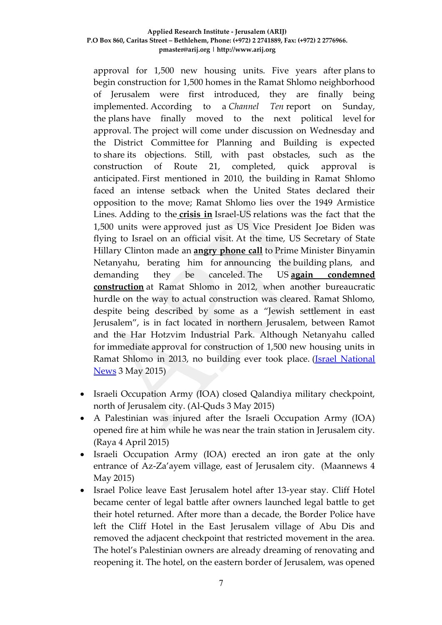approval for 1,500 new housing units. Five years after plans to begin construction for 1,500 homes in the Ramat Shlomo neighborhood of Jerusalem were first introduced, they are finally being implemented. According to a *Channel Ten* report on Sunday, the plans have finally moved to the next political level for approval. The project will come under discussion on Wednesday and the District Committee for Planning and Building is expected to share its objections. Still, with past obstacles, such as the construction of Route 21, completed, quick approval is anticipated. First mentioned in 2010, the building in Ramat Shlomo faced an intense setback when the United States declared their opposition to the move; Ramat Shlomo lies over the 1949 Armistice Lines. Adding to the **[crisis in](http://www.israelnationalnews.com/News/News.aspx/136488)** Israel-US relations was the fact that the 1,500 units were approved just as US Vice President Joe Biden was flying to Israel on an official visit. At the time, US Secretary of State Hillary Clinton made an **[angry phone call](http://www.israelnationalnews.com/News/News.aspx/136512)** to Prime Minister Binyamin Netanyahu, berating him for announcing the building plans, and demanding they be canceled. The US **[again condemned](http://www.israelnationalnews.com/News/News.aspx/163264)  [construction](http://www.israelnationalnews.com/News/News.aspx/163264)** at Ramat Shlomo in 2012, when another bureaucratic hurdle on the way to actual construction was cleared. Ramat Shlomo, despite being described by some as a "Jewish settlement in east Jerusalem", is in fact located in northern Jerusalem, between Ramot and the Har Hotzvim Industrial Park. Although Netanyahu called for immediate approval for construction of 1,500 new housing units in Ramat Shlomo in 2013, no building ever took place. [\(Israel National](http://www.israelnationalnews.com/News/News.aspx/194904#.VUcdWCGqqko)  [News](http://www.israelnationalnews.com/News/News.aspx/194904#.VUcdWCGqqko) 3 May 2015)

- Israeli Occupation Army (IOA) closed Qalandiya military checkpoint, north of Jerusalem city. (Al-Quds 3 May 2015)
- A Palestinian was injured after the Israeli Occupation Army (IOA) opened fire at him while he was near the train station in Jerusalem city. (Raya 4 April 2015)
- Israeli Occupation Army (IOA) erected an iron gate at the only entrance of Az-Za'ayem village, east of Jerusalem city. (Maannews 4 May 2015)
- Israel Police leave East Jerusalem hotel after 13-year stay. Cliff Hotel became center of legal battle after owners launched legal battle to get their hotel returned. After more than a decade, the Border Police have left the Cliff Hotel in the East Jerusalem village of Abu Dis and removed the adjacent checkpoint that restricted movement in the area. The hotel's Palestinian owners are already dreaming of renovating and reopening it. The hotel, on the eastern border of Jerusalem, was opened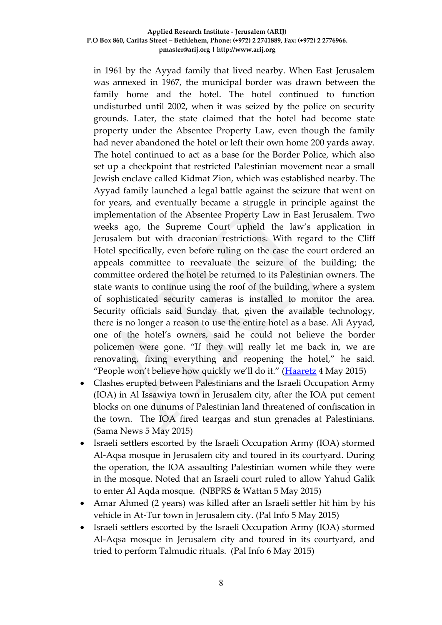in 1961 by the Ayyad family that lived nearby. When East Jerusalem was annexed in 1967, the municipal border was drawn between the family home and the hotel. The hotel continued to function undisturbed until 2002, when it was seized by the police on security grounds. Later, the state claimed that the hotel had become state property under the Absentee Property Law, even though the family had never abandoned the hotel or left their own home 200 yards away. The hotel continued to act as a base for the Border Police, which also set up a checkpoint that restricted Palestinian movement near a small Jewish enclave called Kidmat Zion, which was established nearby. The Ayyad family launched a legal battle against the seizure that went on for years, and eventually became a struggle in principle against the implementation of the Absentee Property Law in East Jerusalem. Two weeks ago, the Supreme Court upheld the law's application in Jerusalem but with draconian restrictions. With regard to the Cliff Hotel specifically, even before ruling on the case the court ordered an appeals committee to reevaluate the seizure of the building; the committee ordered the hotel be returned to its Palestinian owners. The state wants to continue using the roof of the building, where a system of sophisticated security cameras is installed to monitor the area. Security officials said Sunday that, given the available technology, there is no longer a reason to use the entire hotel as a base. Ali Ayyad, one of the hotel's owners, said he could not believe the border policemen were gone. "If they will really let me back in, we are renovating, fixing everything and reopening the hotel," he said. "People won't believe how quickly we'll do it." ([Haaretz](http://www.haaretz.com/news/israel/.premium-1.654811) 4 May 2015)

- Clashes erupted between Palestinians and the Israeli Occupation Army (IOA) in Al Issawiya town in Jerusalem city, after the IOA put cement blocks on one dunums of Palestinian land threatened of confiscation in the town. The IOA fired teargas and stun grenades at Palestinians. (Sama News 5 May 2015)
- Israeli settlers escorted by the Israeli Occupation Army (IOA) stormed Al-Aqsa mosque in Jerusalem city and toured in its courtyard. During the operation, the IOA assaulting Palestinian women while they were in the mosque. Noted that an Israeli court ruled to allow Yahud Galik to enter Al Aqda mosque. (NBPRS & Wattan 5 May 2015)
- Amar Ahmed (2 years) was killed after an Israeli settler hit him by his vehicle in At-Tur town in Jerusalem city. (Pal Info 5 May 2015)
- Israeli settlers escorted by the Israeli Occupation Army (IOA) stormed Al-Aqsa mosque in Jerusalem city and toured in its courtyard, and tried to perform Talmudic rituals. (Pal Info 6 May 2015)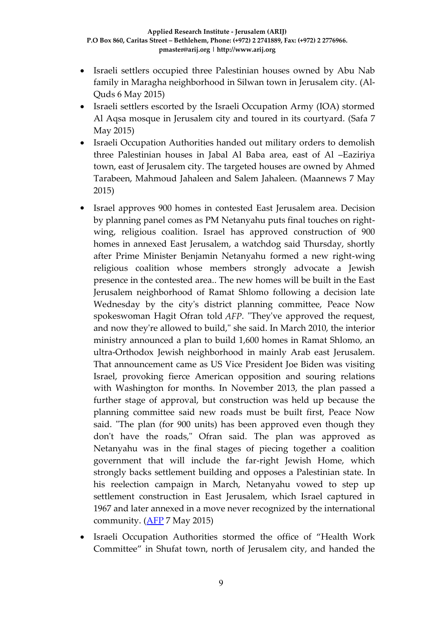- Israeli settlers occupied three Palestinian houses owned by Abu Nab family in Maragha neighborhood in Silwan town in Jerusalem city. (Al-Quds 6 May 2015)
- Israeli settlers escorted by the Israeli Occupation Army (IOA) stormed Al Aqsa mosque in Jerusalem city and toured in its courtyard. (Safa 7 May 2015)
- Israeli Occupation Authorities handed out military orders to demolish three Palestinian houses in Jabal Al Baba area, east of Al –Eaziriya town, east of Jerusalem city. The targeted houses are owned by Ahmed Tarabeen, Mahmoud Jahaleen and Salem Jahaleen. (Maannews 7 May 2015)
- Israel approves 900 homes in contested East Jerusalem area. Decision by planning panel comes as PM Netanyahu puts final touches on rightwing, religious coalition. Israel has approved construction of 900 homes in annexed East Jerusalem, a watchdog said Thursday, shortly after Prime Minister Benjamin Netanyahu formed a new right-wing religious coalition whose members strongly advocate a Jewish presence in the contested area.. The new homes will be built in the East Jerusalem neighborhood of Ramat Shlomo following a decision late Wednesday by the city's district planning committee, Peace Now spokeswoman Hagit Ofran told *AFP*. "They've approved the request, and now they're allowed to build," she said. In March 2010, the interior ministry announced a plan to build 1,600 homes in Ramat Shlomo, an ultra-Orthodox Jewish neighborhood in mainly Arab east Jerusalem. That announcement came as US Vice President Joe Biden was visiting Israel, provoking fierce American opposition and souring relations with Washington for months. In November 2013, the plan passed a further stage of approval, but construction was held up because the planning committee said new roads must be built first, Peace Now said. "The plan (for 900 units) has been approved even though they don't have the roads," Ofran said. The plan was approved as Netanyahu was in the final stages of piecing together a coalition government that will include the far-right Jewish Home, which strongly backs settlement building and opposes a Palestinian state. In his reelection campaign in March, Netanyahu vowed to step up settlement construction in East Jerusalem, which Israel captured in 1967 and later annexed in a move never recognized by the international community.  $(AFP 7 May 2015)$  $(AFP 7 May 2015)$
- Israeli Occupation Authorities stormed the office of "Health Work Committee" in Shufat town, north of Jerusalem city, and handed the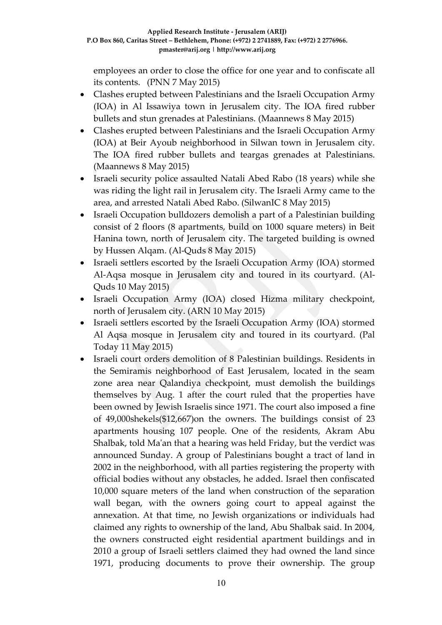employees an order to close the office for one year and to confiscate all its contents. (PNN 7 May 2015)

- Clashes erupted between Palestinians and the Israeli Occupation Army (IOA) in Al Issawiya town in Jerusalem city. The IOA fired rubber bullets and stun grenades at Palestinians. (Maannews 8 May 2015)
- Clashes erupted between Palestinians and the Israeli Occupation Army (IOA) at Beir Ayoub neighborhood in Silwan town in Jerusalem city. The IOA fired rubber bullets and teargas grenades at Palestinians. (Maannews 8 May 2015)
- Israeli security police assaulted Natali Abed Rabo (18 years) while she was riding the light rail in Jerusalem city. The Israeli Army came to the area, and arrested Natali Abed Rabo. (SilwanIC 8 May 2015)
- Israeli Occupation bulldozers demolish a part of a Palestinian building consist of 2 floors (8 apartments, build on 1000 square meters) in Beit Hanina town, north of Jerusalem city. The targeted building is owned by Hussen Alqam. (Al-Quds 8 May 2015)
- Israeli settlers escorted by the Israeli Occupation Army (IOA) stormed Al-Aqsa mosque in Jerusalem city and toured in its courtyard. (Al-Quds 10 May 2015)
- Israeli Occupation Army (IOA) closed Hizma military checkpoint, north of Jerusalem city. (ARN 10 May 2015)
- Israeli settlers escorted by the Israeli Occupation Army (IOA) stormed Al Aqsa mosque in Jerusalem city and toured in its courtyard. (Pal Today 11 May 2015)
- Israeli court orders demolition of 8 Palestinian buildings. Residents in the Semiramis neighborhood of East Jerusalem, located in the seam zone area near Qalandiya checkpoint, must demolish the buildings themselves by Aug. 1 after the court ruled that the properties have been owned by Jewish Israelis since 1971. The court also imposed a fine of 49,000shekels(\$12,667)on the owners. The buildings consist of 23 apartments housing 107 people. One of the residents, Akram Abu Shalbak, told Ma'an that a hearing was held Friday, but the verdict was announced Sunday. A group of Palestinians bought a tract of land in 2002 in the neighborhood, with all parties registering the property with official bodies without any obstacles, he added. Israel then confiscated 10,000 square meters of the land when construction of the separation wall began, with the owners going court to appeal against the annexation. At that time, no Jewish organizations or individuals had claimed any rights to ownership of the land, Abu Shalbak said. In 2004, the owners constructed eight residential apartment buildings and in 2010 a group of Israeli settlers claimed they had owned the land since 1971, producing documents to prove their ownership. The group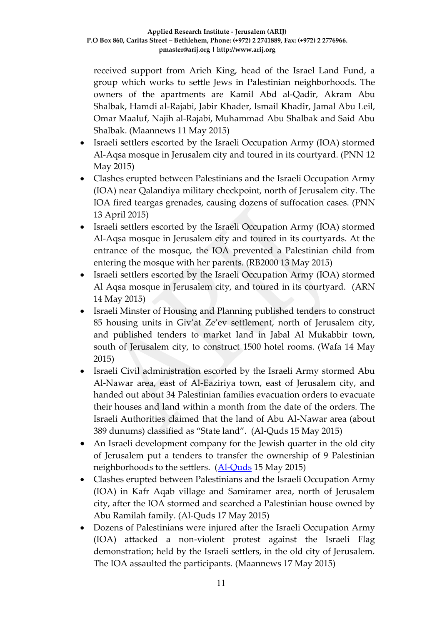received support from Arieh King, head of the Israel Land Fund, a group which works to settle Jews in Palestinian neighborhoods. The owners of the apartments are Kamil Abd al-Qadir, Akram Abu Shalbak, Hamdi al-Rajabi, Jabir Khader, Ismail Khadir, Jamal Abu Leil, Omar Maaluf, Najih al-Rajabi, Muhammad Abu Shalbak and Said Abu Shalbak. (Maannews 11 May 2015)

- Israeli settlers escorted by the Israeli Occupation Army (IOA) stormed Al-Aqsa mosque in Jerusalem city and toured in its courtyard. (PNN 12 May 2015)
- Clashes erupted between Palestinians and the Israeli Occupation Army (IOA) near Qalandiya military checkpoint, north of Jerusalem city. The IOA fired teargas grenades, causing dozens of suffocation cases. (PNN 13 April 2015)
- Israeli settlers escorted by the Israeli Occupation Army (IOA) stormed Al-Aqsa mosque in Jerusalem city and toured in its courtyards. At the entrance of the mosque, the IOA prevented a Palestinian child from entering the mosque with her parents. (RB2000 13 May 2015)
- Israeli settlers escorted by the Israeli Occupation Army (IOA) stormed Al Aqsa mosque in Jerusalem city, and toured in its courtyard. (ARN 14 May 2015)
- Israeli Minster of Housing and Planning published tenders to construct 85 housing units in Giv'at Ze'ev settlement, north of Jerusalem city, and published tenders to market land in Jabal Al Mukabbir town, south of Jerusalem city, to construct 1500 hotel rooms. (Wafa 14 May 2015)
- Israeli Civil administration escorted by the Israeli Army stormed Abu Al-Nawar area, east of Al-Eaziriya town, east of Jerusalem city, and handed out about 34 Palestinian families evacuation orders to evacuate their houses and land within a month from the date of the orders. The Israeli Authorities claimed that the land of Abu Al-Nawar area (about 389 dunums) classified as "State land". (Al-Quds 15 May 2015)
- An Israeli development company for the Jewish quarter in the old city of Jerusalem put a tenders to transfer the ownership of 9 Palestinian neighborhoods to the settlers. [\(Al-Quds](http://www.alquds.com/news/article/view/id/558180) 15 May 2015)
- Clashes erupted between Palestinians and the Israeli Occupation Army (IOA) in Kafr Aqab village and Samiramer area, north of Jerusalem city, after the IOA stormed and searched a Palestinian house owned by Abu Ramilah family. (Al-Quds 17 May 2015)
- Dozens of Palestinians were injured after the Israeli Occupation Army (IOA) attacked a non-violent protest against the Israeli Flag demonstration; held by the Israeli settlers, in the old city of Jerusalem. The IOA assaulted the participants. (Maannews 17 May 2015)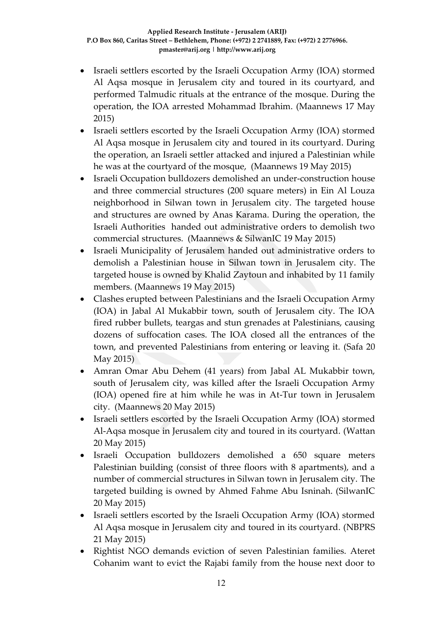- Israeli settlers escorted by the Israeli Occupation Army (IOA) stormed Al Aqsa mosque in Jerusalem city and toured in its courtyard, and performed Talmudic rituals at the entrance of the mosque. During the operation, the IOA arrested Mohammad Ibrahim. (Maannews 17 May 2015)
- Israeli settlers escorted by the Israeli Occupation Army (IOA) stormed Al Aqsa mosque in Jerusalem city and toured in its courtyard. During the operation, an Israeli settler attacked and injured a Palestinian while he was at the courtyard of the mosque, (Maannews 19 May 2015)
- Israeli Occupation bulldozers demolished an under-construction house and three commercial structures (200 square meters) in Ein Al Louza neighborhood in Silwan town in Jerusalem city. The targeted house and structures are owned by Anas Karama. During the operation, the Israeli Authorities handed out administrative orders to demolish two commercial structures. (Maannews & SilwanIC 19 May 2015)
- Israeli Municipality of Jerusalem handed out administrative orders to demolish a Palestinian house in Silwan town in Jerusalem city. The targeted house is owned by Khalid Zaytoun and inhabited by 11 family members. (Maannews 19 May 2015)
- Clashes erupted between Palestinians and the Israeli Occupation Army (IOA) in Jabal Al Mukabbir town, south of Jerusalem city. The IOA fired rubber bullets, teargas and stun grenades at Palestinians, causing dozens of suffocation cases. The IOA closed all the entrances of the town, and prevented Palestinians from entering or leaving it. (Safa 20 May 2015)
- Amran Omar Abu Dehem (41 years) from Jabal AL Mukabbir town, south of Jerusalem city, was killed after the Israeli Occupation Army (IOA) opened fire at him while he was in At-Tur town in Jerusalem city. (Maannews 20 May 2015)
- Israeli settlers escorted by the Israeli Occupation Army (IOA) stormed Al-Aqsa mosque in Jerusalem city and toured in its courtyard. (Wattan 20 May 2015)
- Israeli Occupation bulldozers demolished a 650 square meters Palestinian building (consist of three floors with 8 apartments), and a number of commercial structures in Silwan town in Jerusalem city. The targeted building is owned by Ahmed Fahme Abu Isninah. (SilwanIC 20 May 2015)
- Israeli settlers escorted by the Israeli Occupation Army (IOA) stormed Al Aqsa mosque in Jerusalem city and toured in its courtyard. (NBPRS 21 May 2015)
- Rightist NGO demands eviction of seven Palestinian families. Ateret Cohanim want to evict the Rajabi family from the house next door to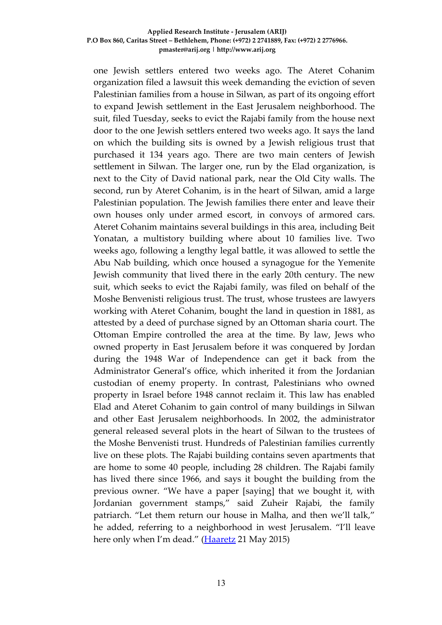one Jewish settlers entered two weeks ago. The Ateret Cohanim organization filed a lawsuit this week demanding the eviction of seven Palestinian families from a house in Silwan, as part of its ongoing effort to expand Jewish settlement in the East Jerusalem neighborhood. The suit, filed Tuesday, seeks to evict the Rajabi family from the house next door to the one Jewish settlers entered two weeks ago. It says the land on which the building sits is owned by a Jewish religious trust that purchased it 134 years ago. There are two main centers of Jewish settlement in Silwan. The larger one, run by the Elad organization, is next to the City of David national park, near the Old City walls. The second, run by Ateret Cohanim, is in the heart of Silwan, amid a large Palestinian population. The Jewish families there enter and leave their own houses only under armed escort, in convoys of armored cars. Ateret Cohanim maintains several buildings in this area, including Beit Yonatan, a multistory building where about 10 families live. Two weeks ago, following a lengthy legal battle, it was allowed to settle the Abu Nab building, which once housed a synagogue for the Yemenite Jewish community that lived there in the early 20th century. The new suit, which seeks to evict the Rajabi family, was filed on behalf of the Moshe Benvenisti religious trust. The trust, whose trustees are lawyers working with Ateret Cohanim, bought the land in question in 1881, as attested by a deed of purchase signed by an Ottoman sharia court. The Ottoman Empire controlled the area at the time. By law, Jews who owned property in East Jerusalem before it was conquered by Jordan during the 1948 War of Independence can get it back from the Administrator General's office, which inherited it from the Jordanian custodian of enemy property. In contrast, Palestinians who owned property in Israel before 1948 cannot reclaim it. This law has enabled Elad and Ateret Cohanim to gain control of many buildings in Silwan and other East Jerusalem neighborhoods. In 2002, the administrator general released several plots in the heart of Silwan to the trustees of the Moshe Benvenisti trust. Hundreds of Palestinian families currently live on these plots. The Rajabi building contains seven apartments that are home to some 40 people, including 28 children. The Rajabi family has lived there since 1966, and says it bought the building from the previous owner. "We have a paper [saying] that we bought it, with Jordanian government stamps," said Zuheir Rajabi, the family patriarch. "Let them return our house in Malha, and then we'll talk," he added, referring to a neighborhood in west Jerusalem. "I'll leave here only when I'm dead." [\(Haaretz](http://www.haaretz.com/news/israel/1.657457) 21 May 2015)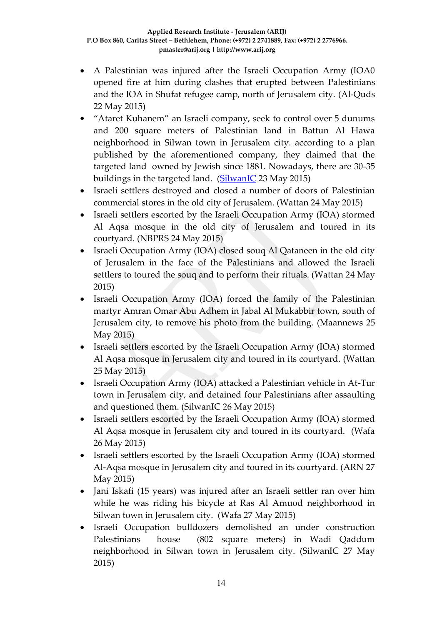- A Palestinian was injured after the Israeli Occupation Army (IOA0 opened fire at him during clashes that erupted between Palestinians and the IOA in Shufat refugee camp, north of Jerusalem city. (Al-Quds 22 May 2015)
- "Ataret Kuhanem" an Israeli company, seek to control over 5 dunums and 200 square meters of Palestinian land in Battun Al Hawa neighborhood in Silwan town in Jerusalem city. according to a plan published by the aforementioned company, they claimed that the targeted land owned by Jewish since 1881. Nowadays, there are 30-35 buildings in the targeted land. [\(SilwanIC](http://silwanic.net/?p=58785) 23 May 2015)
- Israeli settlers destroyed and closed a number of doors of Palestinian commercial stores in the old city of Jerusalem. (Wattan 24 May 2015)
- Israeli settlers escorted by the Israeli Occupation Army (IOA) stormed Al Aqsa mosque in the old city of Jerusalem and toured in its courtyard. (NBPRS 24 May 2015)
- Israeli Occupation Army (IOA) closed souq Al Qataneen in the old city of Jerusalem in the face of the Palestinians and allowed the Israeli settlers to toured the souq and to perform their rituals. (Wattan 24 May 2015)
- Israeli Occupation Army (IOA) forced the family of the Palestinian martyr Amran Omar Abu Adhem in Jabal Al Mukabbir town, south of Jerusalem city, to remove his photo from the building. (Maannews 25 May 2015)
- Israeli settlers escorted by the Israeli Occupation Army (IOA) stormed Al Aqsa mosque in Jerusalem city and toured in its courtyard. (Wattan 25 May 2015)
- Israeli Occupation Army (IOA) attacked a Palestinian vehicle in At-Tur town in Jerusalem city, and detained four Palestinians after assaulting and questioned them. (SilwanIC 26 May 2015)
- Israeli settlers escorted by the Israeli Occupation Army (IOA) stormed Al Aqsa mosque in Jerusalem city and toured in its courtyard. (Wafa 26 May 2015)
- Israeli settlers escorted by the Israeli Occupation Army (IOA) stormed Al-Aqsa mosque in Jerusalem city and toured in its courtyard. (ARN 27 May 2015)
- Jani Iskafi (15 years) was injured after an Israeli settler ran over him while he was riding his bicycle at Ras Al Amuod neighborhood in Silwan town in Jerusalem city. (Wafa 27 May 2015)
- Israeli Occupation bulldozers demolished an under construction Palestinians house (802 square meters) in Wadi Qaddum neighborhood in Silwan town in Jerusalem city. (SilwanIC 27 May 2015)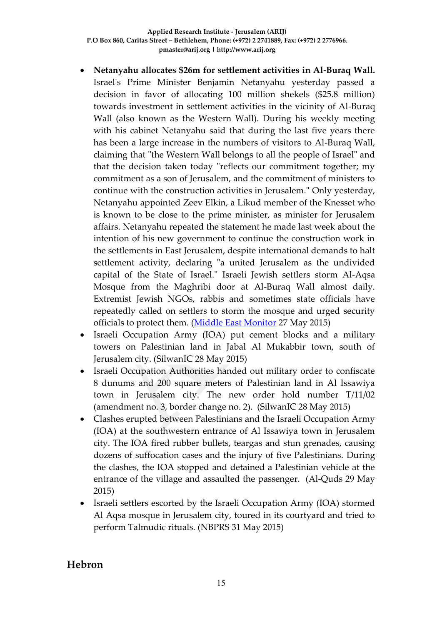- **Netanyahu allocates \$26m for settlement activities in Al-Buraq Wall.**  Israel's Prime Minister Benjamin Netanyahu yesterday passed a decision in favor of allocating 100 million shekels (\$25.8 million) towards investment in settlement activities in the vicinity of Al-Buraq Wall (also known as the Western Wall). During his weekly meeting with his cabinet Netanyahu said that during the last five years there has been a large increase in the numbers of visitors to Al-Buraq Wall, claiming that "the Western Wall belongs to all the people of Israel" and that the decision taken today "reflects our commitment together; my commitment as a son of Jerusalem, and the commitment of ministers to continue with the construction activities in Jerusalem." Only yesterday, Netanyahu appointed Zeev Elkin, a Likud member of the Knesset who is known to be close to the prime minister, as minister for Jerusalem affairs. Netanyahu repeated the statement he made last week about the intention of his new government to continue the construction work in the settlements in East Jerusalem, despite international demands to halt settlement activity, declaring "a united Jerusalem as the undivided capital of the State of Israel." Israeli Jewish settlers storm Al-Aqsa Mosque from the Maghribi door at Al-Buraq Wall almost daily. Extremist Jewish NGOs, rabbis and sometimes state officials have repeatedly called on settlers to storm the mosque and urged security officials to protect them. [\(Middle East Monitor](https://www.middleeastmonitor.com/news/middle-east/18870-netanyahu-allocates-26m-for-settlement-activities-in-al-buraq-wall) 27 May 2015)
- Israeli Occupation Army (IOA) put cement blocks and a military towers on Palestinian land in Jabal Al Mukabbir town, south of Jerusalem city. (SilwanIC 28 May 2015)
- Israeli Occupation Authorities handed out military order to confiscate 8 dunums and 200 square meters of Palestinian land in Al Issawiya town in Jerusalem city. The new order hold number T/11/02 (amendment no. 3, border change no. 2). (SilwanIC 28 May 2015)
- Clashes erupted between Palestinians and the Israeli Occupation Army (IOA) at the southwestern entrance of Al Issawiya town in Jerusalem city. The IOA fired rubber bullets, teargas and stun grenades, causing dozens of suffocation cases and the injury of five Palestinians. During the clashes, the IOA stopped and detained a Palestinian vehicle at the entrance of the village and assaulted the passenger. (Al-Quds 29 May 2015)
- Israeli settlers escorted by the Israeli Occupation Army (IOA) stormed Al Aqsa mosque in Jerusalem city, toured in its courtyard and tried to perform Talmudic rituals. (NBPRS 31 May 2015)

### **Hebron**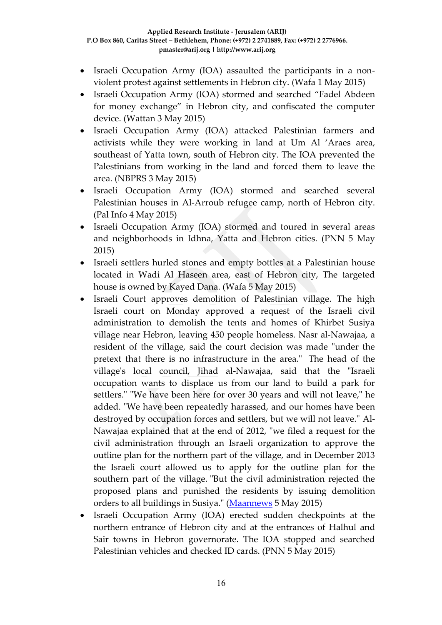- Israeli Occupation Army (IOA) assaulted the participants in a nonviolent protest against settlements in Hebron city. (Wafa 1 May 2015)
- Israeli Occupation Army (IOA) stormed and searched "Fadel Abdeen for money exchange" in Hebron city, and confiscated the computer device. (Wattan 3 May 2015)
- Israeli Occupation Army (IOA) attacked Palestinian farmers and activists while they were working in land at Um Al 'Araes area, southeast of Yatta town, south of Hebron city. The IOA prevented the Palestinians from working in the land and forced them to leave the area. (NBPRS 3 May 2015)
- Israeli Occupation Army (IOA) stormed and searched several Palestinian houses in Al-Arroub refugee camp, north of Hebron city. (Pal Info 4 May 2015)
- Israeli Occupation Army (IOA) stormed and toured in several areas and neighborhoods in Idhna, Yatta and Hebron cities. (PNN 5 May 2015)
- Israeli settlers hurled stones and empty bottles at a Palestinian house located in Wadi Al Haseen area, east of Hebron city, The targeted house is owned by Kayed Dana. (Wafa 5 May 2015)
- Israeli Court approves demolition of Palestinian village. The high Israeli court on Monday approved a request of the Israeli civil administration to demolish the tents and homes of Khirbet Susiya village near Hebron, leaving 450 people homeless. Nasr al-Nawajaa, a resident of the village, said the court decision was made "under the pretext that there is no infrastructure in the area." The head of the village's local council, Jihad al-Nawajaa, said that the "Israeli occupation wants to displace us from our land to build a park for settlers." "We have been here for over 30 years and will not leave," he added. "We have been repeatedly harassed, and our homes have been destroyed by occupation forces and settlers, but we will not leave." Al-Nawajaa explained that at the end of 2012, "we filed a request for the civil administration through an Israeli organization to approve the outline plan for the northern part of the village, and in December 2013 the Israeli court allowed us to apply for the outline plan for the southern part of the village. "But the civil administration rejected the proposed plans and punished the residents by issuing demolition orders to all buildings in Susiya." [\(Maannews](http://www.maannews.com/Content.aspx?id=765225) 5 May 2015)
- Israeli Occupation Army (IOA) erected sudden checkpoints at the northern entrance of Hebron city and at the entrances of Halhul and Sair towns in Hebron governorate. The IOA stopped and searched Palestinian vehicles and checked ID cards. (PNN 5 May 2015)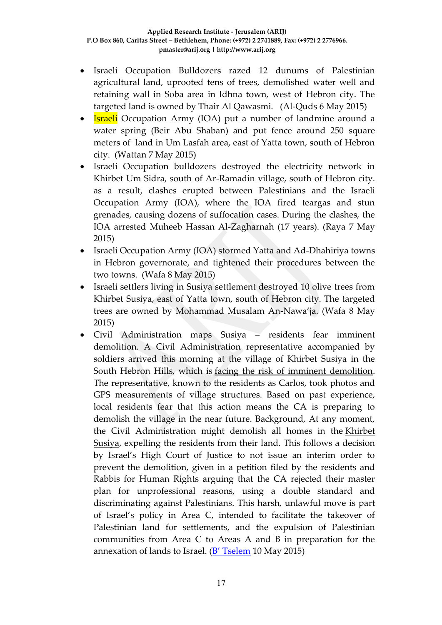- Israeli Occupation Bulldozers razed 12 dunums of Palestinian agricultural land, uprooted tens of trees, demolished water well and retaining wall in Soba area in Idhna town, west of Hebron city. The targeted land is owned by Thair Al Qawasmi. (Al-Quds 6 May 2015)
- **Israeli** Occupation Army (IOA) put a number of landmine around a water spring (Beir Abu Shaban) and put fence around 250 square meters of land in Um Lasfah area, east of Yatta town, south of Hebron city. (Wattan 7 May 2015)
- Israeli Occupation bulldozers destroyed the electricity network in Khirbet Um Sidra, south of Ar-Ramadin village, south of Hebron city. as a result, clashes erupted between Palestinians and the Israeli Occupation Army (IOA), where the IOA fired teargas and stun grenades, causing dozens of suffocation cases. During the clashes, the IOA arrested Muheeb Hassan Al-Zagharnah (17 years). (Raya 7 May 2015)
- Israeli Occupation Army (IOA) stormed Yatta and Ad-Dhahiriya towns in Hebron governorate, and tightened their procedures between the two towns. (Wafa 8 May 2015)
- Israeli settlers living in Susiya settlement destroyed 10 olive trees from Khirbet Susiya, east of Yatta town, south of Hebron city. The targeted trees are owned by Mohammad Musalam An-Nawa'ja. (Wafa 8 May 2015)
- Civil Administration maps Susiya residents fear imminent demolition. A Civil Administration representative accompanied by soldiers arrived this morning at the village of Khirbet Susiya in the South Hebron Hills, which is [facing the risk of imminent demolition.](http://www.btselem.org/press_releases/20150507_khirbet_susiya_facing_expulsion) The representative, known to the residents as Carlos, took photos and GPS measurements of village structures. Based on past experience, local residents fear that this action means the CA is preparing to demolish the village in the near future. Background, At any moment, the Civil Administration might demolish all homes in the [Khirbet](http://www.btselem.org/south_hebron_hills/susiya)  [Susiya,](http://www.btselem.org/south_hebron_hills/susiya) expelling the residents from their land. This follows a decision by Israel's High Court of Justice to not issue an interim order to prevent the demolition, given in a petition filed by the residents and Rabbis for Human Rights arguing that the CA rejected their master plan for unprofessional reasons, using a double standard and discriminating against Palestinians. This harsh, unlawful move is part of Israel's policy in Area C, intended to facilitate the takeover of Palestinian land for settlements, and the expulsion of Palestinian communities from Area C to Areas A and B in preparation for the annexation of lands to Israel. ([B' Tselem](http://www.btselem.org/press_releases/20150510_civil_administration_mapping_susiya) 10 May 2015)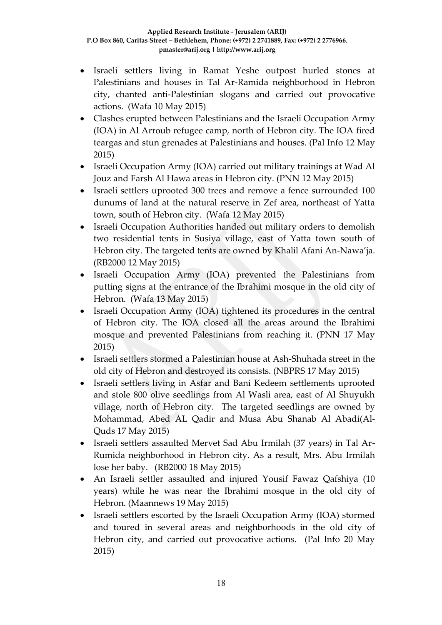- Israeli settlers living in Ramat Yeshe outpost hurled stones at Palestinians and houses in Tal Ar-Ramida neighborhood in Hebron city, chanted anti-Palestinian slogans and carried out provocative actions. (Wafa 10 May 2015)
- Clashes erupted between Palestinians and the Israeli Occupation Army (IOA) in Al Arroub refugee camp, north of Hebron city. The IOA fired teargas and stun grenades at Palestinians and houses. (Pal Info 12 May 2015)
- Israeli Occupation Army (IOA) carried out military trainings at Wad Al Jouz and Farsh Al Hawa areas in Hebron city. (PNN 12 May 2015)
- Israeli settlers uprooted 300 trees and remove a fence surrounded 100 dunums of land at the natural reserve in Zef area, northeast of Yatta town, south of Hebron city. (Wafa 12 May 2015)
- Israeli Occupation Authorities handed out military orders to demolish two residential tents in Susiya village, east of Yatta town south of Hebron city. The targeted tents are owned by Khalil Afani An-Nawa'ja. (RB2000 12 May 2015)
- Israeli Occupation Army (IOA) prevented the Palestinians from putting signs at the entrance of the Ibrahimi mosque in the old city of Hebron. (Wafa 13 May 2015)
- Israeli Occupation Army (IOA) tightened its procedures in the central of Hebron city. The IOA closed all the areas around the Ibrahimi mosque and prevented Palestinians from reaching it. (PNN 17 May 2015)
- Israeli settlers stormed a Palestinian house at Ash-Shuhada street in the old city of Hebron and destroyed its consists. (NBPRS 17 May 2015)
- Israeli settlers living in Asfar and Bani Kedeem settlements uprooted and stole 800 olive seedlings from Al Wasli area, east of Al Shuyukh village, north of Hebron city. The targeted seedlings are owned by Mohammad, Abed AL Qadir and Musa Abu Shanab Al Abadi(Al-Quds 17 May 2015)
- Israeli settlers assaulted Mervet Sad Abu Irmilah (37 years) in Tal Ar-Rumida neighborhood in Hebron city. As a result, Mrs. Abu Irmilah lose her baby. (RB2000 18 May 2015)
- An Israeli settler assaulted and injured Yousif Fawaz Qafshiya (10 years) while he was near the Ibrahimi mosque in the old city of Hebron. (Maannews 19 May 2015)
- Israeli settlers escorted by the Israeli Occupation Army (IOA) stormed and toured in several areas and neighborhoods in the old city of Hebron city, and carried out provocative actions. (Pal Info 20 May 2015)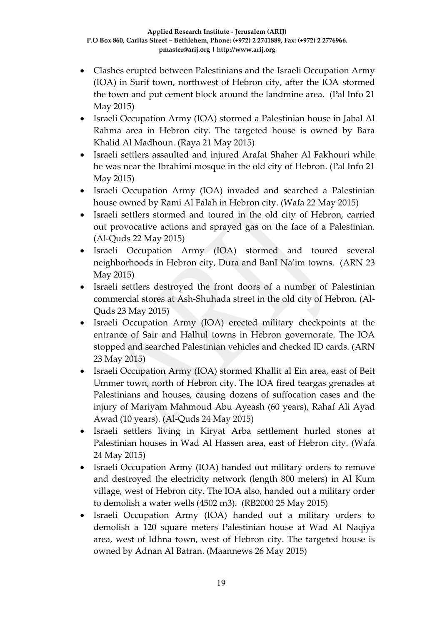- Clashes erupted between Palestinians and the Israeli Occupation Army (IOA) in Surif town, northwest of Hebron city, after the IOA stormed the town and put cement block around the landmine area. (Pal Info 21 May 2015)
- Israeli Occupation Army (IOA) stormed a Palestinian house in Jabal Al Rahma area in Hebron city. The targeted house is owned by Bara Khalid Al Madhoun. (Raya 21 May 2015)
- Israeli settlers assaulted and injured Arafat Shaher Al Fakhouri while he was near the Ibrahimi mosque in the old city of Hebron. (Pal Info 21 May 2015)
- Israeli Occupation Army (IOA) invaded and searched a Palestinian house owned by Rami Al Falah in Hebron city. (Wafa 22 May 2015)
- Israeli settlers stormed and toured in the old city of Hebron, carried out provocative actions and sprayed gas on the face of a Palestinian. (Al-Quds 22 May 2015)
- Israeli Occupation Army (IOA) stormed and toured several neighborhoods in Hebron city, Dura and BanI Na'im towns. (ARN 23 May 2015)
- Israeli settlers destroyed the front doors of a number of Palestinian commercial stores at Ash-Shuhada street in the old city of Hebron. (Al-Quds 23 May 2015)
- Israeli Occupation Army (IOA) erected military checkpoints at the entrance of Sair and Halhul towns in Hebron governorate. The IOA stopped and searched Palestinian vehicles and checked ID cards. (ARN 23 May 2015)
- Israeli Occupation Army (IOA) stormed Khallit al Ein area, east of Beit Ummer town, north of Hebron city. The IOA fired teargas grenades at Palestinians and houses, causing dozens of suffocation cases and the injury of Mariyam Mahmoud Abu Ayeash (60 years), Rahaf Ali Ayad Awad (10 years). (Al-Quds 24 May 2015)
- Israeli settlers living in Kiryat Arba settlement hurled stones at Palestinian houses in Wad Al Hassen area, east of Hebron city. (Wafa 24 May 2015)
- Israeli Occupation Army (IOA) handed out military orders to remove and destroyed the electricity network (length 800 meters) in Al Kum village, west of Hebron city. The IOA also, handed out a military order to demolish a water wells (4502 m3). (RB2000 25 May 2015)
- Israeli Occupation Army (IOA) handed out a military orders to demolish a 120 square meters Palestinian house at Wad Al Naqiya area, west of Idhna town, west of Hebron city. The targeted house is owned by Adnan Al Batran. (Maannews 26 May 2015)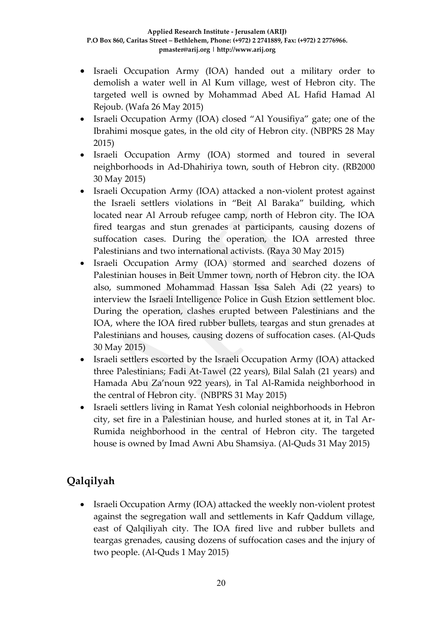- Israeli Occupation Army (IOA) handed out a military order to demolish a water well in Al Kum village, west of Hebron city. The targeted well is owned by Mohammad Abed AL Hafid Hamad Al Rejoub. (Wafa 26 May 2015)
- Israeli Occupation Army (IOA) closed "Al Yousifiya" gate; one of the Ibrahimi mosque gates, in the old city of Hebron city. (NBPRS 28 May 2015)
- Israeli Occupation Army (IOA) stormed and toured in several neighborhoods in Ad-Dhahiriya town, south of Hebron city. (RB2000 30 May 2015)
- Israeli Occupation Army (IOA) attacked a non-violent protest against the Israeli settlers violations in "Beit Al Baraka" building, which located near Al Arroub refugee camp, north of Hebron city. The IOA fired teargas and stun grenades at participants, causing dozens of suffocation cases. During the operation, the IOA arrested three Palestinians and two international activists. (Raya 30 May 2015)
- Israeli Occupation Army (IOA) stormed and searched dozens of Palestinian houses in Beit Ummer town, north of Hebron city. the IOA also, summoned Mohammad Hassan Issa Saleh Adi (22 years) to interview the Israeli Intelligence Police in Gush Etzion settlement bloc. During the operation, clashes erupted between Palestinians and the IOA, where the IOA fired rubber bullets, teargas and stun grenades at Palestinians and houses, causing dozens of suffocation cases. (Al-Quds 30 May 2015)
- Israeli settlers escorted by the Israeli Occupation Army (IOA) attacked three Palestinians; Fadi At-Tawel (22 years), Bilal Salah (21 years) and Hamada Abu Za'noun 922 years), in Tal Al-Ramida neighborhood in the central of Hebron city. (NBPRS 31 May 2015)
- Israeli settlers living in Ramat Yesh colonial neighborhoods in Hebron city, set fire in a Palestinian house, and hurled stones at it, in Tal Ar-Rumida neighborhood in the central of Hebron city. The targeted house is owned by Imad Awni Abu Shamsiya. (Al-Quds 31 May 2015)

# **Qalqilyah**

• Israeli Occupation Army (IOA) attacked the weekly non-violent protest against the segregation wall and settlements in Kafr Qaddum village, east of Qalqiliyah city. The IOA fired live and rubber bullets and teargas grenades, causing dozens of suffocation cases and the injury of two people. (Al-Quds 1 May 2015)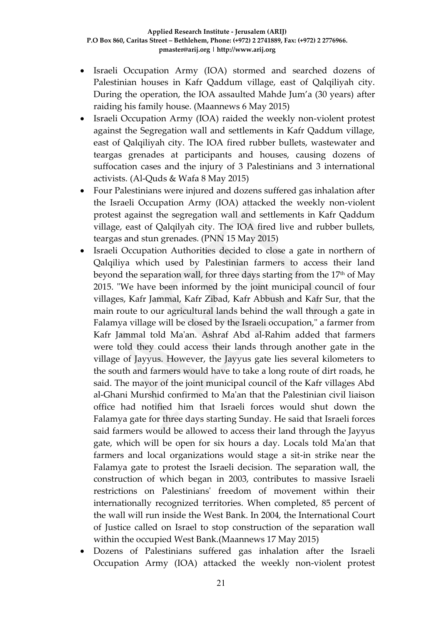- Israeli Occupation Army (IOA) stormed and searched dozens of Palestinian houses in Kafr Qaddum village, east of Qalqiliyah city. During the operation, the IOA assaulted Mahde Jum'a (30 years) after raiding his family house. (Maannews 6 May 2015)
- Israeli Occupation Army (IOA) raided the weekly non-violent protest against the Segregation wall and settlements in Kafr Qaddum village, east of Qalqiliyah city. The IOA fired rubber bullets, wastewater and teargas grenades at participants and houses, causing dozens of suffocation cases and the injury of 3 Palestinians and 3 international activists. (Al-Quds & Wafa 8 May 2015)
- Four Palestinians were injured and dozens suffered gas inhalation after the Israeli Occupation Army (IOA) attacked the weekly non-violent protest against the segregation wall and settlements in Kafr Qaddum village, east of Qalqilyah city. The IOA fired live and rubber bullets, teargas and stun grenades. (PNN 15 May 2015)
- Israeli Occupation Authorities decided to close a gate in northern of Qalqiliya which used by Palestinian farmers to access their land beyond the separation wall, for three days starting from the  $17<sup>th</sup>$  of May 2015. "We have been informed by the joint municipal council of four villages, Kafr Jammal, Kafr Zibad, Kafr Abbush and Kafr Sur, that the main route to our agricultural lands behind the wall through a gate in Falamya village will be closed by the Israeli occupation," a farmer from Kafr Jammal told Ma'an. Ashraf Abd al-Rahim added that farmers were told they could access their lands through another gate in the village of Jayyus. However, the Jayyus gate lies several kilometers to the south and farmers would have to take a long route of dirt roads, he said. The mayor of the joint municipal council of the Kafr villages Abd al-Ghani Murshid confirmed to Ma'an that the Palestinian civil liaison office had notified him that Israeli forces would shut down the Falamya gate for three days starting Sunday. He said that Israeli forces said farmers would be allowed to access their land through the Jayyus gate, which will be open for six hours a day. Locals told Ma'an that farmers and local organizations would stage a sit-in strike near the Falamya gate to protest the Israeli decision. The separation wall, the construction of which began in 2003, contributes to massive Israeli restrictions on Palestinians' freedom of movement within their internationally recognized territories. When completed, 85 percent of the wall will run inside the West Bank. In 2004, the International Court of Justice called on Israel to stop construction of the separation wall within the occupied West Bank.(Maannews 17 May 2015)
- Dozens of Palestinians suffered gas inhalation after the Israeli Occupation Army (IOA) attacked the weekly non-violent protest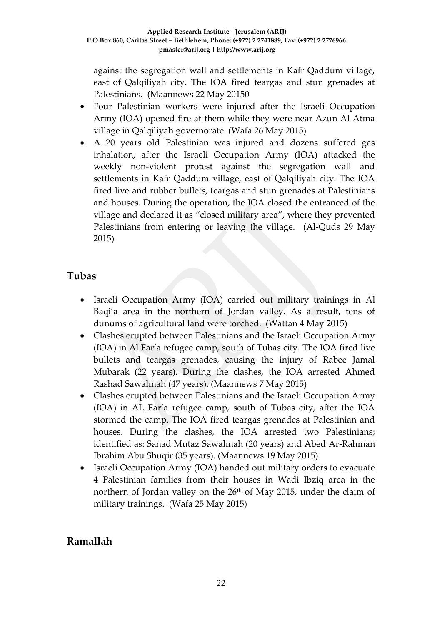against the segregation wall and settlements in Kafr Qaddum village, east of Qalqiliyah city. The IOA fired teargas and stun grenades at Palestinians. (Maannews 22 May 20150

- Four Palestinian workers were injured after the Israeli Occupation Army (IOA) opened fire at them while they were near Azun Al Atma village in Qalqiliyah governorate. (Wafa 26 May 2015)
- A 20 years old Palestinian was injured and dozens suffered gas inhalation, after the Israeli Occupation Army (IOA) attacked the weekly non-violent protest against the segregation wall and settlements in Kafr Qaddum village, east of Qalqiliyah city. The IOA fired live and rubber bullets, teargas and stun grenades at Palestinians and houses. During the operation, the IOA closed the entranced of the village and declared it as "closed military area", where they prevented Palestinians from entering or leaving the village. (Al-Quds 29 May 2015)

### **Tubas**

- Israeli Occupation Army (IOA) carried out military trainings in Al Baqi'a area in the northern of Jordan valley. As a result, tens of dunums of agricultural land were torched. (Wattan 4 May 2015)
- Clashes erupted between Palestinians and the Israeli Occupation Army (IOA) in Al Far'a refugee camp, south of Tubas city. The IOA fired live bullets and teargas grenades, causing the injury of Rabee Jamal Mubarak (22 years). During the clashes, the IOA arrested Ahmed Rashad Sawalmah (47 years). (Maannews 7 May 2015)
- Clashes erupted between Palestinians and the Israeli Occupation Army (IOA) in AL Far'a refugee camp, south of Tubas city, after the IOA stormed the camp. The IOA fired teargas grenades at Palestinian and houses. During the clashes, the IOA arrested two Palestinians; identified as: Sanad Mutaz Sawalmah (20 years) and Abed Ar-Rahman Ibrahim Abu Shuqir (35 years). (Maannews 19 May 2015)
- Israeli Occupation Army (IOA) handed out military orders to evacuate 4 Palestinian families from their houses in Wadi Ibziq area in the northern of Jordan valley on the 26<sup>th</sup> of May 2015, under the claim of military trainings. (Wafa 25 May 2015)

## **Ramallah**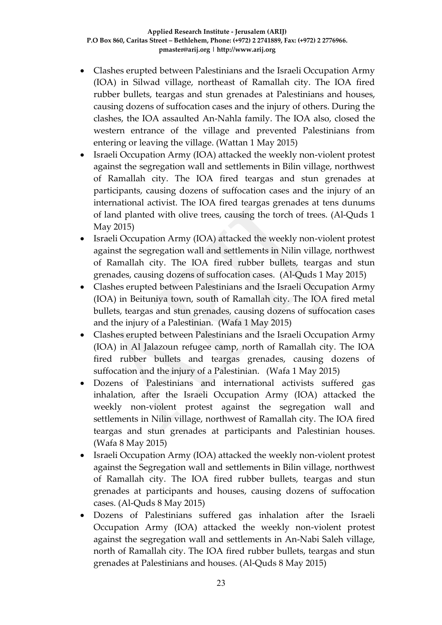- Clashes erupted between Palestinians and the Israeli Occupation Army (IOA) in Silwad village, northeast of Ramallah city. The IOA fired rubber bullets, teargas and stun grenades at Palestinians and houses, causing dozens of suffocation cases and the injury of others. During the clashes, the IOA assaulted An-Nahla family. The IOA also, closed the western entrance of the village and prevented Palestinians from entering or leaving the village. (Wattan 1 May 2015)
- Israeli Occupation Army (IOA) attacked the weekly non-violent protest against the segregation wall and settlements in Bilin village, northwest of Ramallah city. The IOA fired teargas and stun grenades at participants, causing dozens of suffocation cases and the injury of an international activist. The IOA fired teargas grenades at tens dunums of land planted with olive trees, causing the torch of trees. (Al-Quds 1 May 2015)
- Israeli Occupation Army (IOA) attacked the weekly non-violent protest against the segregation wall and settlements in Nilin village, northwest of Ramallah city. The IOA fired rubber bullets, teargas and stun grenades, causing dozens of suffocation cases. (Al-Quds 1 May 2015)
- Clashes erupted between Palestinians and the Israeli Occupation Army (IOA) in Beituniya town, south of Ramallah city. The IOA fired metal bullets, teargas and stun grenades, causing dozens of suffocation cases and the injury of a Palestinian. (Wafa 1 May 2015)
- Clashes erupted between Palestinians and the Israeli Occupation Army (IOA) in Al Jalazoun refugee camp, north of Ramallah city. The IOA fired rubber bullets and teargas grenades, causing dozens of suffocation and the injury of a Palestinian. (Wafa 1 May 2015)
- Dozens of Palestinians and international activists suffered gas inhalation, after the Israeli Occupation Army (IOA) attacked the weekly non-violent protest against the segregation wall and settlements in Nilin village, northwest of Ramallah city. The IOA fired teargas and stun grenades at participants and Palestinian houses. (Wafa 8 May 2015)
- Israeli Occupation Army (IOA) attacked the weekly non-violent protest against the Segregation wall and settlements in Bilin village, northwest of Ramallah city. The IOA fired rubber bullets, teargas and stun grenades at participants and houses, causing dozens of suffocation cases. (Al-Quds 8 May 2015)
- Dozens of Palestinians suffered gas inhalation after the Israeli Occupation Army (IOA) attacked the weekly non-violent protest against the segregation wall and settlements in An-Nabi Saleh village, north of Ramallah city. The IOA fired rubber bullets, teargas and stun grenades at Palestinians and houses. (Al-Quds 8 May 2015)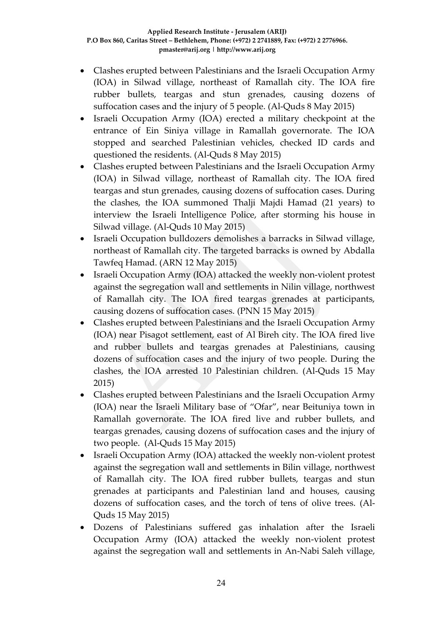- Clashes erupted between Palestinians and the Israeli Occupation Army (IOA) in Silwad village, northeast of Ramallah city. The IOA fire rubber bullets, teargas and stun grenades, causing dozens of suffocation cases and the injury of 5 people. (Al-Quds 8 May 2015)
- Israeli Occupation Army (IOA) erected a military checkpoint at the entrance of Ein Siniya village in Ramallah governorate. The IOA stopped and searched Palestinian vehicles, checked ID cards and questioned the residents. (Al-Quds 8 May 2015)
- Clashes erupted between Palestinians and the Israeli Occupation Army (IOA) in Silwad village, northeast of Ramallah city. The IOA fired teargas and stun grenades, causing dozens of suffocation cases. During the clashes, the IOA summoned Thalji Majdi Hamad (21 years) to interview the Israeli Intelligence Police, after storming his house in Silwad village. (Al-Quds 10 May 2015)
- Israeli Occupation bulldozers demolishes a barracks in Silwad village, northeast of Ramallah city. The targeted barracks is owned by Abdalla Tawfeq Hamad. (ARN 12 May 2015)
- Israeli Occupation Army (IOA) attacked the weekly non-violent protest against the segregation wall and settlements in Nilin village, northwest of Ramallah city. The IOA fired teargas grenades at participants, causing dozens of suffocation cases. (PNN 15 May 2015)
- Clashes erupted between Palestinians and the Israeli Occupation Army (IOA) near Pisagot settlement, east of Al Bireh city. The IOA fired live and rubber bullets and teargas grenades at Palestinians, causing dozens of suffocation cases and the injury of two people. During the clashes, the IOA arrested 10 Palestinian children. (Al-Quds 15 May 2015)
- Clashes erupted between Palestinians and the Israeli Occupation Army (IOA) near the Israeli Military base of "Ofar", near Beituniya town in Ramallah governorate. The IOA fired live and rubber bullets, and teargas grenades, causing dozens of suffocation cases and the injury of two people. (Al-Quds 15 May 2015)
- Israeli Occupation Army (IOA) attacked the weekly non-violent protest against the segregation wall and settlements in Bilin village, northwest of Ramallah city. The IOA fired rubber bullets, teargas and stun grenades at participants and Palestinian land and houses, causing dozens of suffocation cases, and the torch of tens of olive trees. (Al-Quds 15 May 2015)
- Dozens of Palestinians suffered gas inhalation after the Israeli Occupation Army (IOA) attacked the weekly non-violent protest against the segregation wall and settlements in An-Nabi Saleh village,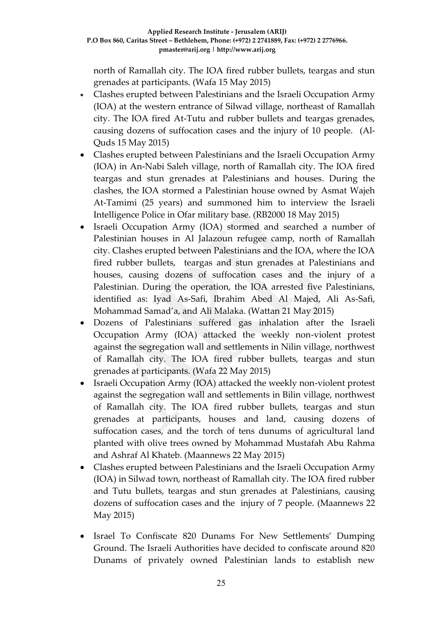north of Ramallah city. The IOA fired rubber bullets, teargas and stun grenades at participants. (Wafa 15 May 2015)

- Clashes erupted between Palestinians and the Israeli Occupation Army (IOA) at the western entrance of Silwad village, northeast of Ramallah city. The IOA fired At-Tutu and rubber bullets and teargas grenades, causing dozens of suffocation cases and the injury of 10 people. (Al-Quds 15 May 2015)
- Clashes erupted between Palestinians and the Israeli Occupation Army (IOA) in An-Nabi Saleh village, north of Ramallah city. The IOA fired teargas and stun grenades at Palestinians and houses. During the clashes, the IOA stormed a Palestinian house owned by Asmat Wajeh At-Tamimi (25 years) and summoned him to interview the Israeli Intelligence Police in Ofar military base. (RB2000 18 May 2015)
- Israeli Occupation Army (IOA) stormed and searched a number of Palestinian houses in Al Jalazoun refugee camp, north of Ramallah city. Clashes erupted between Palestinians and the IOA, where the IOA fired rubber bullets, teargas and stun grenades at Palestinians and houses, causing dozens of suffocation cases and the injury of a Palestinian. During the operation, the IOA arrested five Palestinians, identified as: Iyad As-Safi, Ibrahim Abed Al Majed, Ali As-Safi, Mohammad Samad'a, and Ali Malaka. (Wattan 21 May 2015)
- Dozens of Palestinians suffered gas inhalation after the Israeli Occupation Army (IOA) attacked the weekly non-violent protest against the segregation wall and settlements in Nilin village, northwest of Ramallah city. The IOA fired rubber bullets, teargas and stun grenades at participants. (Wafa 22 May 2015)
- Israeli Occupation Army (IOA) attacked the weekly non-violent protest against the segregation wall and settlements in Bilin village, northwest of Ramallah city. The IOA fired rubber bullets, teargas and stun grenades at participants, houses and land, causing dozens of suffocation cases, and the torch of tens dunums of agricultural land planted with olive trees owned by Mohammad Mustafah Abu Rahma and Ashraf Al Khateb. (Maannews 22 May 2015)
- Clashes erupted between Palestinians and the Israeli Occupation Army (IOA) in Silwad town, northeast of Ramallah city. The IOA fired rubber and Tutu bullets, teargas and stun grenades at Palestinians, causing dozens of suffocation cases and the injury of 7 people. (Maannews 22 May 2015)
- Israel To Confiscate 820 Dunams For New Settlements' Dumping Ground. The Israeli Authorities have decided to confiscate around 820 Dunams of privately owned Palestinian lands to establish new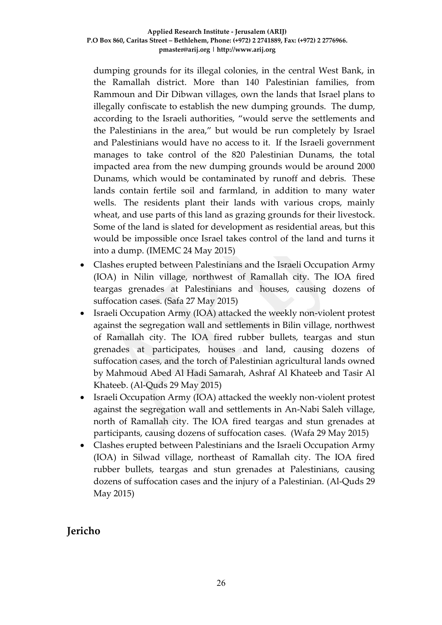dumping grounds for its illegal colonies, in the central West Bank, in the Ramallah district. More than 140 Palestinian families, from Rammoun and Dir Dibwan villages, own the lands that Israel plans to illegally confiscate to establish the new dumping grounds. The dump, according to the Israeli authorities, "would serve the settlements and the Palestinians in the area," but would be run completely by Israel and Palestinians would have no access to it. If the Israeli government manages to take control of the 820 Palestinian Dunams, the total impacted area from the new dumping grounds would be around 2000 Dunams, which would be contaminated by runoff and debris. These lands contain fertile soil and farmland, in addition to many water wells. The residents plant their lands with various crops, mainly wheat, and use parts of this land as grazing grounds for their livestock. Some of the land is slated for development as residential areas, but this would be impossible once Israel takes control of the land and turns it into a dump. (IMEMC 24 May 2015)

- Clashes erupted between Palestinians and the Israeli Occupation Army (IOA) in Nilin village, northwest of Ramallah city. The IOA fired teargas grenades at Palestinians and houses, causing dozens of suffocation cases. (Safa 27 May 2015)
- Israeli Occupation Army (IOA) attacked the weekly non-violent protest against the segregation wall and settlements in Bilin village, northwest of Ramallah city. The IOA fired rubber bullets, teargas and stun grenades at participates, houses and land, causing dozens of suffocation cases, and the torch of Palestinian agricultural lands owned by Mahmoud Abed Al Hadi Samarah, Ashraf Al Khateeb and Tasir Al Khateeb. (Al-Quds 29 May 2015)
- Israeli Occupation Army (IOA) attacked the weekly non-violent protest against the segregation wall and settlements in An-Nabi Saleh village, north of Ramallah city. The IOA fired teargas and stun grenades at participants, causing dozens of suffocation cases. (Wafa 29 May 2015)
- Clashes erupted between Palestinians and the Israeli Occupation Army (IOA) in Silwad village, northeast of Ramallah city. The IOA fired rubber bullets, teargas and stun grenades at Palestinians, causing dozens of suffocation cases and the injury of a Palestinian. (Al-Quds 29 May 2015)

## **Jericho**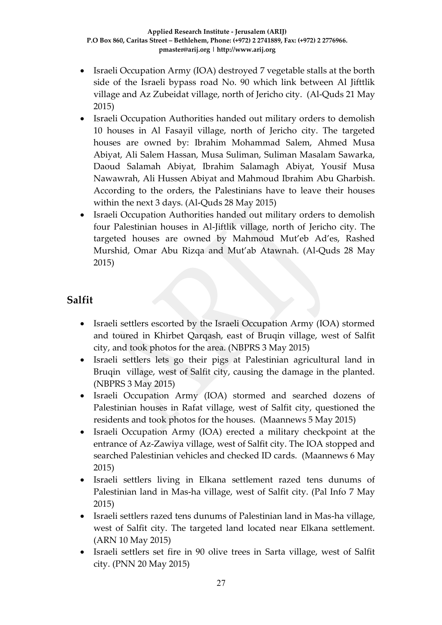- Israeli Occupation Army (IOA) destroyed 7 vegetable stalls at the borth side of the Israeli bypass road No. 90 which link between Al Jifttlik village and Az Zubeidat village, north of Jericho city. (Al-Quds 21 May 2015)
- Israeli Occupation Authorities handed out military orders to demolish 10 houses in Al Fasayil village, north of Jericho city. The targeted houses are owned by: Ibrahim Mohammad Salem, Ahmed Musa Abiyat, Ali Salem Hassan, Musa Suliman, Suliman Masalam Sawarka, Daoud Salamah Abiyat, Ibrahim Salamagh Abiyat, Yousif Musa Nawawrah, Ali Hussen Abiyat and Mahmoud Ibrahim Abu Gharbish. According to the orders, the Palestinians have to leave their houses within the next 3 days. (Al-Quds 28 May 2015)
- Israeli Occupation Authorities handed out military orders to demolish four Palestinian houses in Al-Jiftlik village, north of Jericho city. The targeted houses are owned by Mahmoud Mut'eb Ad'es, Rashed Murshid, Omar Abu Rizqa and Mut'ab Atawnah. (Al-Quds 28 May 2015)

## **Salfit**

- Israeli settlers escorted by the Israeli Occupation Army (IOA) stormed and toured in Khirbet Qarqash, east of Bruqin village, west of Salfit city, and took photos for the area. (NBPRS 3 May 2015)
- Israeli settlers lets go their pigs at Palestinian agricultural land in Bruqin village, west of Salfit city, causing the damage in the planted. (NBPRS 3 May 2015)
- Israeli Occupation Army (IOA) stormed and searched dozens of Palestinian houses in Rafat village, west of Salfit city, questioned the residents and took photos for the houses. (Maannews 5 May 2015)
- Israeli Occupation Army (IOA) erected a military checkpoint at the entrance of Az-Zawiya village, west of Salfit city. The IOA stopped and searched Palestinian vehicles and checked ID cards. (Maannews 6 May 2015)
- Israeli settlers living in Elkana settlement razed tens dunums of Palestinian land in Mas-ha village, west of Salfit city. (Pal Info 7 May 2015)
- Israeli settlers razed tens dunums of Palestinian land in Mas-ha village, west of Salfit city. The targeted land located near Elkana settlement. (ARN 10 May 2015)
- Israeli settlers set fire in 90 olive trees in Sarta village, west of Salfit city. (PNN 20 May 2015)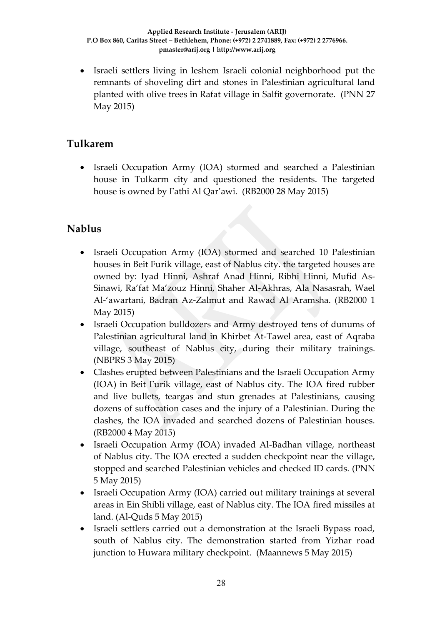Israeli settlers living in leshem Israeli colonial neighborhood put the remnants of shoveling dirt and stones in Palestinian agricultural land planted with olive trees in Rafat village in Salfit governorate. (PNN 27 May 2015)

### **Tulkarem**

 Israeli Occupation Army (IOA) stormed and searched a Palestinian house in Tulkarm city and questioned the residents. The targeted house is owned by Fathi Al Qar'awi. (RB2000 28 May 2015)

## **Nablus**

- Israeli Occupation Army (IOA) stormed and searched 10 Palestinian houses in Beit Furik village, east of Nablus city. the targeted houses are owned by: Iyad Hinni, Ashraf Anad Hinni, Ribhi Hinni, Mufid As-Sinawi, Ra'fat Ma'zouz Hinni, Shaher Al-Akhras, Ala Nasasrah, Wael Al-'awartani, Badran Az-Zalmut and Rawad Al Aramsha. (RB2000 1 May 2015)
- Israeli Occupation bulldozers and Army destroyed tens of dunums of Palestinian agricultural land in Khirbet At-Tawel area, east of Aqraba village, southeast of Nablus city, during their military trainings. (NBPRS 3 May 2015)
- Clashes erupted between Palestinians and the Israeli Occupation Army (IOA) in Beit Furik village, east of Nablus city. The IOA fired rubber and live bullets, teargas and stun grenades at Palestinians, causing dozens of suffocation cases and the injury of a Palestinian. During the clashes, the IOA invaded and searched dozens of Palestinian houses. (RB2000 4 May 2015)
- Israeli Occupation Army (IOA) invaded Al-Badhan village, northeast of Nablus city. The IOA erected a sudden checkpoint near the village, stopped and searched Palestinian vehicles and checked ID cards. (PNN 5 May 2015)
- Israeli Occupation Army (IOA) carried out military trainings at several areas in Ein Shibli village, east of Nablus city. The IOA fired missiles at land. (Al-Quds 5 May 2015)
- Israeli settlers carried out a demonstration at the Israeli Bypass road, south of Nablus city. The demonstration started from Yizhar road junction to Huwara military checkpoint. (Maannews 5 May 2015)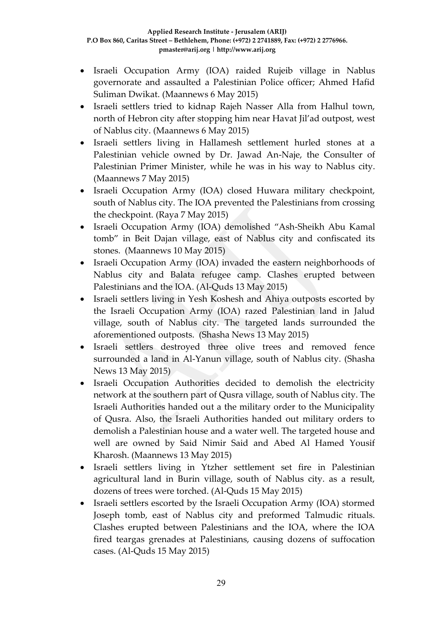- Israeli Occupation Army (IOA) raided Rujeib village in Nablus governorate and assaulted a Palestinian Police officer; Ahmed Hafid Suliman Dwikat. (Maannews 6 May 2015)
- Israeli settlers tried to kidnap Rajeh Nasser Alla from Halhul town, north of Hebron city after stopping him near Havat Jil'ad outpost, west of Nablus city. (Maannews 6 May 2015)
- Israeli settlers living in Hallamesh settlement hurled stones at a Palestinian vehicle owned by Dr. Jawad An-Naje, the Consulter of Palestinian Primer Minister, while he was in his way to Nablus city. (Maannews 7 May 2015)
- Israeli Occupation Army (IOA) closed Huwara military checkpoint, south of Nablus city. The IOA prevented the Palestinians from crossing the checkpoint. (Raya 7 May 2015)
- Israeli Occupation Army (IOA) demolished "Ash-Sheikh Abu Kamal tomb" in Beit Dajan village, east of Nablus city and confiscated its stones. (Maannews 10 May 2015)
- Israeli Occupation Army (IOA) invaded the eastern neighborhoods of Nablus city and Balata refugee camp. Clashes erupted between Palestinians and the IOA. (Al-Quds 13 May 2015)
- Israeli settlers living in Yesh Koshesh and Ahiya outposts escorted by the Israeli Occupation Army (IOA) razed Palestinian land in Jalud village, south of Nablus city. The targeted lands surrounded the aforementioned outposts. (Shasha News 13 May 2015)
- Israeli settlers destroyed three olive trees and removed fence surrounded a land in Al-Yanun village, south of Nablus city. (Shasha News 13 May 2015)
- Israeli Occupation Authorities decided to demolish the electricity network at the southern part of Qusra village, south of Nablus city. The Israeli Authorities handed out a the military order to the Municipality of Qusra. Also, the Israeli Authorities handed out military orders to demolish a Palestinian house and a water well. The targeted house and well are owned by Said Nimir Said and Abed Al Hamed Yousif Kharosh. (Maannews 13 May 2015)
- Israeli settlers living in Ytzher settlement set fire in Palestinian agricultural land in Burin village, south of Nablus city. as a result, dozens of trees were torched. (Al-Quds 15 May 2015)
- Israeli settlers escorted by the Israeli Occupation Army (IOA) stormed Joseph tomb, east of Nablus city and preformed Talmudic rituals. Clashes erupted between Palestinians and the IOA, where the IOA fired teargas grenades at Palestinians, causing dozens of suffocation cases. (Al-Quds 15 May 2015)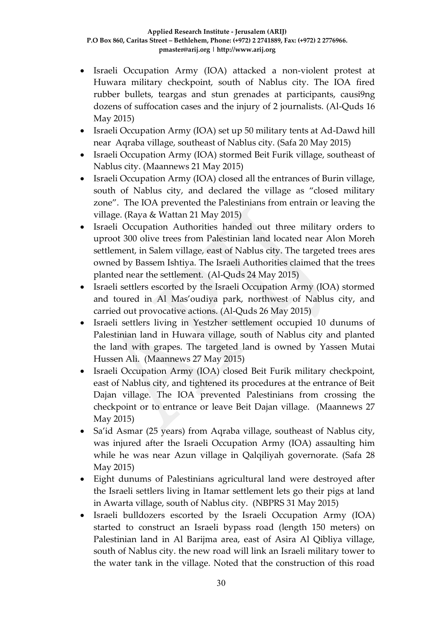- Israeli Occupation Army (IOA) attacked a non-violent protest at Huwara military checkpoint, south of Nablus city. The IOA fired rubber bullets, teargas and stun grenades at participants, causi9ng dozens of suffocation cases and the injury of 2 journalists. (Al-Quds 16 May 2015)
- Israeli Occupation Army (IOA) set up 50 military tents at Ad-Dawd hill near Aqraba village, southeast of Nablus city. (Safa 20 May 2015)
- Israeli Occupation Army (IOA) stormed Beit Furik village, southeast of Nablus city. (Maannews 21 May 2015)
- Israeli Occupation Army (IOA) closed all the entrances of Burin village, south of Nablus city, and declared the village as "closed military zone". The IOA prevented the Palestinians from entrain or leaving the village. (Raya & Wattan 21 May 2015)
- Israeli Occupation Authorities handed out three military orders to uproot 300 olive trees from Palestinian land located near Alon Moreh settlement, in Salem village, east of Nablus city. The targeted trees ares owned by Bassem Ishtiya. The Israeli Authorities claimed that the trees planted near the settlement. (Al-Quds 24 May 2015)
- Israeli settlers escorted by the Israeli Occupation Army (IOA) stormed and toured in Al Mas'oudiya park, northwest of Nablus city, and carried out provocative actions. (Al-Quds 26 May 2015)
- Israeli settlers living in Yestzher settlement occupied 10 dunums of Palestinian land in Huwara village, south of Nablus city and planted the land with grapes. The targeted land is owned by Yassen Mutai Hussen Ali. (Maannews 27 May 2015)
- Israeli Occupation Army (IOA) closed Beit Furik military checkpoint, east of Nablus city, and tightened its procedures at the entrance of Beit Dajan village. The IOA prevented Palestinians from crossing the checkpoint or to entrance or leave Beit Dajan village. (Maannews 27 May 2015)
- Sa'id Asmar (25 years) from Aqraba village, southeast of Nablus city, was injured after the Israeli Occupation Army (IOA) assaulting him while he was near Azun village in Qalqiliyah governorate. (Safa 28 May 2015)
- Eight dunums of Palestinians agricultural land were destroyed after the Israeli settlers living in Itamar settlement lets go their pigs at land in Awarta village, south of Nablus city. (NBPRS 31 May 2015)
- Israeli bulldozers escorted by the Israeli Occupation Army (IOA) started to construct an Israeli bypass road (length 150 meters) on Palestinian land in Al Barijma area, east of Asira Al Qibliya village, south of Nablus city. the new road will link an Israeli military tower to the water tank in the village. Noted that the construction of this road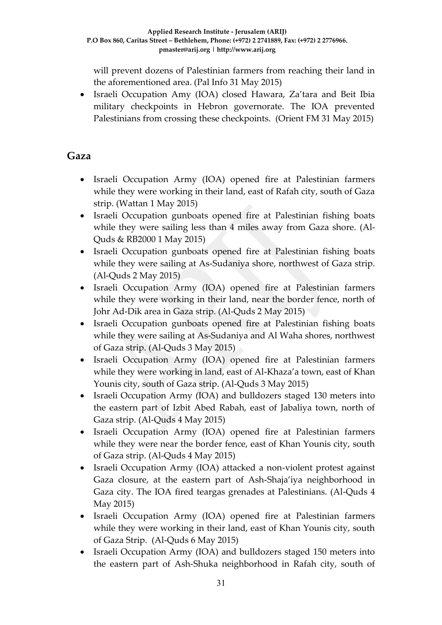will prevent dozens of Palestinian farmers from reaching their land in the aforementioned area. (Pal Info 31 May 2015)

 Israeli Occupation Amy (IOA) closed Hawara, Za'tara and Beit Ibia military checkpoints in Hebron governorate. The IOA prevented Palestinians from crossing these checkpoints. (Orient FM 31 May 2015)

## **Gaza**

- Israeli Occupation Army (IOA) opened fire at Palestinian farmers while they were working in their land, east of Rafah city, south of Gaza strip. (Wattan 1 May 2015)
- Israeli Occupation gunboats opened fire at Palestinian fishing boats while they were sailing less than 4 miles away from Gaza shore. (Al-Quds & RB2000 1 May 2015)
- Israeli Occupation gunboats opened fire at Palestinian fishing boats while they were sailing at As-Sudaniya shore, northwest of Gaza strip. (Al-Quds 2 May 2015)
- Israeli Occupation Army (IOA) opened fire at Palestinian farmers while they were working in their land, near the border fence, north of Johr Ad-Dik area in Gaza strip. (Al-Quds 2 May 2015)
- Israeli Occupation gunboats opened fire at Palestinian fishing boats while they were sailing at As-Sudaniya and Al Waha shores, northwest of Gaza strip. (Al-Quds 3 May 2015)
- Israeli Occupation Army (IOA) opened fire at Palestinian farmers while they were working in land, east of Al-Khaza'a town, east of Khan Younis city, south of Gaza strip. (Al-Quds 3 May 2015)
- Israeli Occupation Army (IOA) and bulldozers staged 130 meters into the eastern part of Izbit Abed Rabah, east of Jabaliya town, north of Gaza strip. (Al-Quds 4 May 2015)
- Israeli Occupation Army (IOA) opened fire at Palestinian farmers while they were near the border fence, east of Khan Younis city, south of Gaza strip. (Al-Quds 4 May 2015)
- Israeli Occupation Army (IOA) attacked a non-violent protest against Gaza closure, at the eastern part of Ash-Shaja'iya neighborhood in Gaza city. The IOA fired teargas grenades at Palestinians. (Al-Quds 4 May 2015)
- Israeli Occupation Army (IOA) opened fire at Palestinian farmers while they were working in their land, east of Khan Younis city, south of Gaza Strip. (Al-Quds 6 May 2015)
- Israeli Occupation Army (IOA) and bulldozers staged 150 meters into the eastern part of Ash-Shuka neighborhood in Rafah city, south of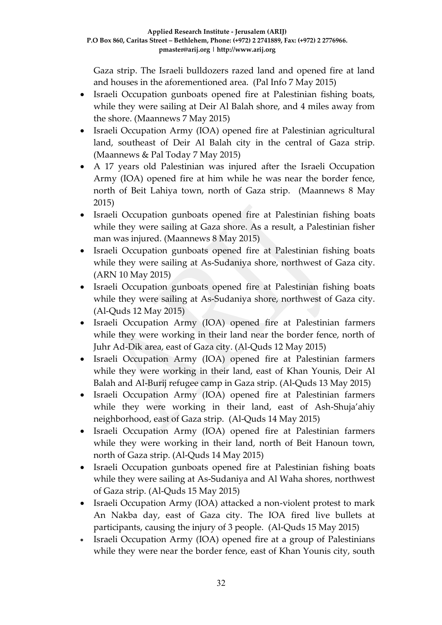Gaza strip. The Israeli bulldozers razed land and opened fire at land and houses in the aforementioned area. (Pal Info 7 May 2015)

- Israeli Occupation gunboats opened fire at Palestinian fishing boats, while they were sailing at Deir Al Balah shore, and 4 miles away from the shore. (Maannews 7 May 2015)
- Israeli Occupation Army (IOA) opened fire at Palestinian agricultural land, southeast of Deir Al Balah city in the central of Gaza strip. (Maannews & Pal Today 7 May 2015)
- A 17 years old Palestinian was injured after the Israeli Occupation Army (IOA) opened fire at him while he was near the border fence, north of Beit Lahiya town, north of Gaza strip. (Maannews 8 May 2015)
- Israeli Occupation gunboats opened fire at Palestinian fishing boats while they were sailing at Gaza shore. As a result, a Palestinian fisher man was injured. (Maannews 8 May 2015)
- Israeli Occupation gunboats opened fire at Palestinian fishing boats while they were sailing at As-Sudaniya shore, northwest of Gaza city. (ARN 10 May 2015)
- Israeli Occupation gunboats opened fire at Palestinian fishing boats while they were sailing at As-Sudaniya shore, northwest of Gaza city. (Al-Quds 12 May 2015)
- Israeli Occupation Army (IOA) opened fire at Palestinian farmers while they were working in their land near the border fence, north of Juhr Ad-Dik area, east of Gaza city. (Al-Quds 12 May 2015)
- Israeli Occupation Army (IOA) opened fire at Palestinian farmers while they were working in their land, east of Khan Younis, Deir Al Balah and Al-Burij refugee camp in Gaza strip. (Al-Quds 13 May 2015)
- Israeli Occupation Army (IOA) opened fire at Palestinian farmers while they were working in their land, east of Ash-Shuja'ahiy neighborhood, east of Gaza strip. (Al-Quds 14 May 2015)
- Israeli Occupation Army (IOA) opened fire at Palestinian farmers while they were working in their land, north of Beit Hanoun town, north of Gaza strip. (Al-Quds 14 May 2015)
- Israeli Occupation gunboats opened fire at Palestinian fishing boats while they were sailing at As-Sudaniya and Al Waha shores, northwest of Gaza strip. (Al-Quds 15 May 2015)
- Israeli Occupation Army (IOA) attacked a non-violent protest to mark An Nakba day, east of Gaza city. The IOA fired live bullets at participants, causing the injury of 3 people. (Al-Quds 15 May 2015)
- Israeli Occupation Army (IOA) opened fire at a group of Palestinians while they were near the border fence, east of Khan Younis city, south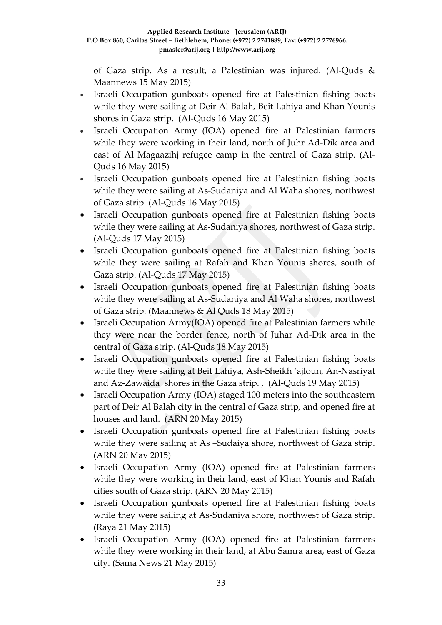of Gaza strip. As a result, a Palestinian was injured. (Al-Quds & Maannews 15 May 2015)

- Israeli Occupation gunboats opened fire at Palestinian fishing boats while they were sailing at Deir Al Balah, Beit Lahiya and Khan Younis shores in Gaza strip. (Al-Quds 16 May 2015)
- Israeli Occupation Army (IOA) opened fire at Palestinian farmers while they were working in their land, north of Juhr Ad-Dik area and east of Al Magaazihj refugee camp in the central of Gaza strip. (Al-Quds 16 May 2015)
- Israeli Occupation gunboats opened fire at Palestinian fishing boats while they were sailing at As-Sudaniya and Al Waha shores, northwest of Gaza strip. (Al-Quds 16 May 2015)
- Israeli Occupation gunboats opened fire at Palestinian fishing boats while they were sailing at As-Sudaniya shores, northwest of Gaza strip. (Al-Quds 17 May 2015)
- Israeli Occupation gunboats opened fire at Palestinian fishing boats while they were sailing at Rafah and Khan Younis shores, south of Gaza strip. (Al-Quds 17 May 2015)
- Israeli Occupation gunboats opened fire at Palestinian fishing boats while they were sailing at As-Sudaniya and Al Waha shores, northwest of Gaza strip. (Maannews & Al Quds 18 May 2015)
- Israeli Occupation Army(IOA) opened fire at Palestinian farmers while they were near the border fence, north of Juhar Ad-Dik area in the central of Gaza strip. (Al-Quds 18 May 2015)
- Israeli Occupation gunboats opened fire at Palestinian fishing boats while they were sailing at Beit Lahiya, Ash-Sheikh 'ajloun, An-Nasriyat and Az-Zawaida shores in the Gaza strip. , (Al-Quds 19 May 2015)
- Israeli Occupation Army (IOA) staged 100 meters into the southeastern part of Deir Al Balah city in the central of Gaza strip, and opened fire at houses and land. (ARN 20 May 2015)
- Israeli Occupation gunboats opened fire at Palestinian fishing boats while they were sailing at As –Sudaiya shore, northwest of Gaza strip. (ARN 20 May 2015)
- Israeli Occupation Army (IOA) opened fire at Palestinian farmers while they were working in their land, east of Khan Younis and Rafah cities south of Gaza strip. (ARN 20 May 2015)
- Israeli Occupation gunboats opened fire at Palestinian fishing boats while they were sailing at As-Sudaniya shore, northwest of Gaza strip. (Raya 21 May 2015)
- Israeli Occupation Army (IOA) opened fire at Palestinian farmers while they were working in their land, at Abu Samra area, east of Gaza city. (Sama News 21 May 2015)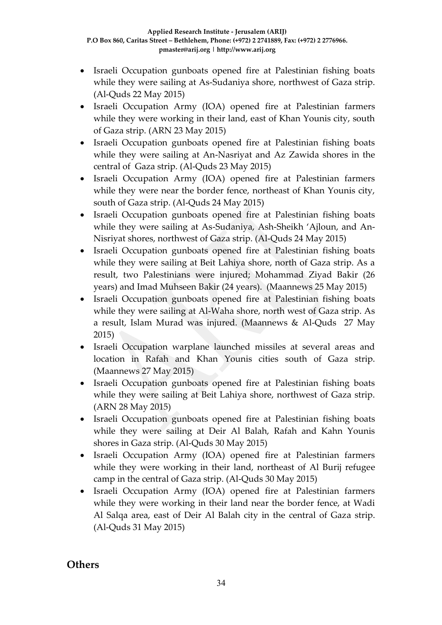- Israeli Occupation gunboats opened fire at Palestinian fishing boats while they were sailing at As-Sudaniya shore, northwest of Gaza strip. (Al-Quds 22 May 2015)
- Israeli Occupation Army (IOA) opened fire at Palestinian farmers while they were working in their land, east of Khan Younis city, south of Gaza strip. (ARN 23 May 2015)
- Israeli Occupation gunboats opened fire at Palestinian fishing boats while they were sailing at An-Nasriyat and Az Zawida shores in the central of Gaza strip. (Al-Quds 23 May 2015)
- Israeli Occupation Army (IOA) opened fire at Palestinian farmers while they were near the border fence, northeast of Khan Younis city, south of Gaza strip. (Al-Quds 24 May 2015)
- Israeli Occupation gunboats opened fire at Palestinian fishing boats while they were sailing at As-Sudaniya, Ash-Sheikh 'Ajloun, and An-Nisriyat shores, northwest of Gaza strip. (Al-Quds 24 May 2015)
- Israeli Occupation gunboats opened fire at Palestinian fishing boats while they were sailing at Beit Lahiya shore, north of Gaza strip. As a result, two Palestinians were injured; Mohammad Ziyad Bakir (26 years) and Imad Muhseen Bakir (24 years). (Maannews 25 May 2015)
- Israeli Occupation gunboats opened fire at Palestinian fishing boats while they were sailing at Al-Waha shore, north west of Gaza strip. As a result, Islam Murad was injured. (Maannews & Al-Quds 27 May 2015)
- Israeli Occupation warplane launched missiles at several areas and location in Rafah and Khan Younis cities south of Gaza strip. (Maannews 27 May 2015)
- Israeli Occupation gunboats opened fire at Palestinian fishing boats while they were sailing at Beit Lahiya shore, northwest of Gaza strip. (ARN 28 May 2015)
- Israeli Occupation gunboats opened fire at Palestinian fishing boats while they were sailing at Deir Al Balah, Rafah and Kahn Younis shores in Gaza strip. (Al-Quds 30 May 2015)
- Israeli Occupation Army (IOA) opened fire at Palestinian farmers while they were working in their land, northeast of Al Burij refugee camp in the central of Gaza strip. (Al-Quds 30 May 2015)
- Israeli Occupation Army (IOA) opened fire at Palestinian farmers while they were working in their land near the border fence, at Wadi Al Salqa area, east of Deir Al Balah city in the central of Gaza strip. (Al-Quds 31 May 2015)

### **Others**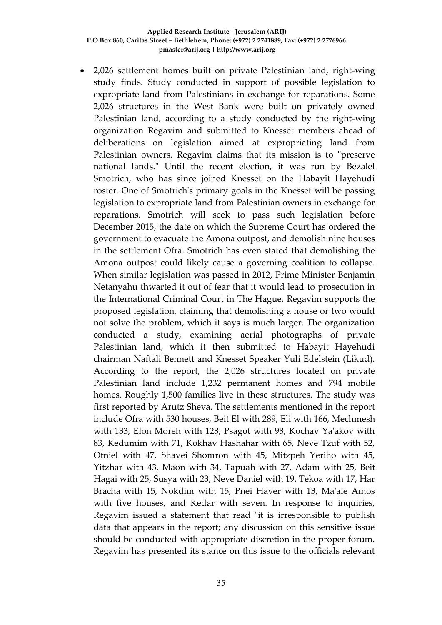2,026 settlement homes built on private Palestinian land, right-wing study finds. Study conducted in support of possible legislation to expropriate land from Palestinians in exchange for reparations. Some 2,026 structures in the West Bank were built on privately owned Palestinian land, according to a study conducted by the right-wing organization Regavim and submitted to Knesset members ahead of deliberations on legislation aimed at expropriating land from Palestinian owners. Regavim claims that its mission is to "preserve national lands." Until the recent election, it was run by Bezalel Smotrich, who has since joined Knesset on the Habayit Hayehudi roster. One of Smotrich's primary goals in the Knesset will be passing legislation to expropriate land from Palestinian owners in exchange for reparations. Smotrich will seek to pass such legislation before December 2015, the date on which the Supreme Court has ordered the government to evacuate the Amona outpost, and demolish nine houses in the settlement Ofra. Smotrich has even stated that demolishing the Amona outpost could likely cause a governing coalition to collapse. When similar legislation was passed in 2012, Prime Minister Benjamin Netanyahu thwarted it out of fear that it would lead to prosecution in the International Criminal Court in The Hague. Regavim supports the proposed legislation, claiming that demolishing a house or two would not solve the problem, which it says is much larger. The organization conducted a study, examining aerial photographs of private Palestinian land, which it then submitted to Habayit Hayehudi chairman Naftali Bennett and Knesset Speaker Yuli Edelstein (Likud). According to the report, the 2,026 structures located on private Palestinian land include 1,232 permanent homes and 794 mobile homes. Roughly 1,500 families live in these structures. The study was first reported by Arutz Sheva. The settlements mentioned in the report include Ofra with 530 houses, Beit El with 289, Eli with 166, Mechmesh with 133, Elon Moreh with 128, Psagot with 98, Kochav Ya'akov with 83, Kedumim with 71, Kokhav Hashahar with 65, Neve Tzuf with 52, Otniel with 47, Shavei Shomron with 45, Mitzpeh Yeriho with 45, Yitzhar with 43, Maon with 34, Tapuah with 27, Adam with 25, Beit Hagai with 25, Susya with 23, Neve Daniel with 19, Tekoa with 17, Har Bracha with 15, Nokdim with 15, Pnei Haver with 13, Ma'ale Amos with five houses, and Kedar with seven. In response to inquiries, Regavim issued a statement that read "it is irresponsible to publish data that appears in the report; any discussion on this sensitive issue should be conducted with appropriate discretion in the proper forum. Regavim has presented its stance on this issue to the officials relevant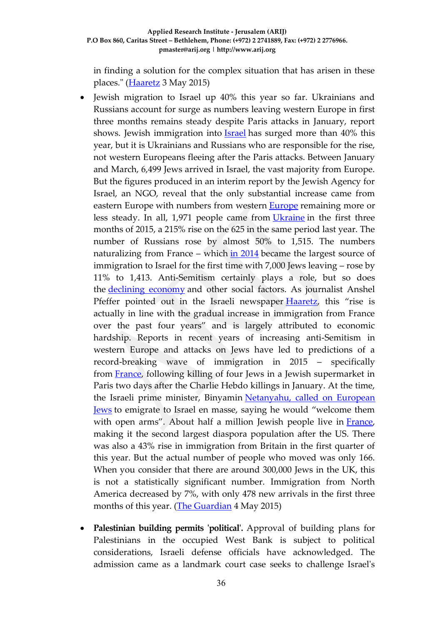in finding a solution for the complex situation that has arisen in these places." (**Haaretz** 3 May 2015)

- Jewish migration to Israel up 40% this year so far. Ukrainians and Russians account for surge as numbers leaving western Europe in first three months remains steady despite Paris attacks in January, report shows. Jewish immigration into [Israel](http://www.theguardian.com/world/israel) has surged more than 40% this year, but it is Ukrainians and Russians who are responsible for the rise, not western Europeans fleeing after the Paris attacks. Between January and March, 6,499 Jews arrived in Israel, the vast majority from Europe. But the figures produced in an interim report by the Jewish Agency for Israel, an NGO, reveal that the only substantial increase came from eastern [Europe](http://www.theguardian.com/world/europe-news) with numbers from western **Europe** remaining more or less steady. In all, 1,971 people came from [Ukraine](http://www.theguardian.com/world/ukraine) in the first three months of 2015, a 215% rise on the 625 in the same period last year. The number of Russians rose by almost 50% to 1,515. The numbers naturalizing from France – which  $\frac{\text{in } 2014}{\text{in } 2014}$  became the largest source of immigration to Israel for the first time with 7,000 Jews leaving – rose by 11% to 1,413. Anti-Semitism certainly plays a role, but so does the [declining economy](mailto:http://www.theguardian.com/world/2015/jan/16/french-jews-israel-exodus-reasons) and other social factors. As journalist Anshel Pfeffer pointed out in the Israeli newspaper [Haaretz](mailto:http://www.haaretz.com/jewish-world/jewish-world-features/.premium-1.654536), this "rise is actually in line with the gradual increase in immigration from France over the past four years" and is largely attributed to economic hardship. Reports in recent years of increasing anti-Semitism in western Europe and attacks on Jews have led to predictions of a record-breaking wave of immigration in 2015 – specifically from [France,](http://www.theguardian.com/world/france) following killing of four Jews in a Jewish supermarket in Paris two days after the Charlie Hebdo killings in January. At the time, the Israeli prime minister, Binyamin [Netanyahu, called on European](mailto:http://www.theguardian.com/world/2015/jan/11/netanyahu-israel-european-jews-open-arms)  [Jews](mailto:http://www.theguardian.com/world/2015/jan/11/netanyahu-israel-european-jews-open-arms) to emigrate to Israel en masse, saying he would "welcome them with open arms". About half a million Jewish people live in [France,](http://www.theguardian.com/world/france) making it the second largest diaspora population after the US. There was also a 43% rise in immigration from Britain in the first quarter of this year. But the actual number of people who moved was only 166. When you consider that there are around 300,000 Jews in the UK, this is not a statistically significant number. Immigration from North America decreased by 7%, with only 478 new arrivals in the first three months of this year. [\(The Guardian](http://www.theguardian.com/world/2015/may/03/jewish-immigration-israel-jumps-this-year-ukrainians-russians-europe-paris-attacks) 4 May 2015)
- **Palestinian building permits 'political'.** Approval of building plans for Palestinians in the occupied West Bank is subject to political considerations, Israeli defense officials have acknowledged. The admission came as a landmark court case seeks to challenge Israel's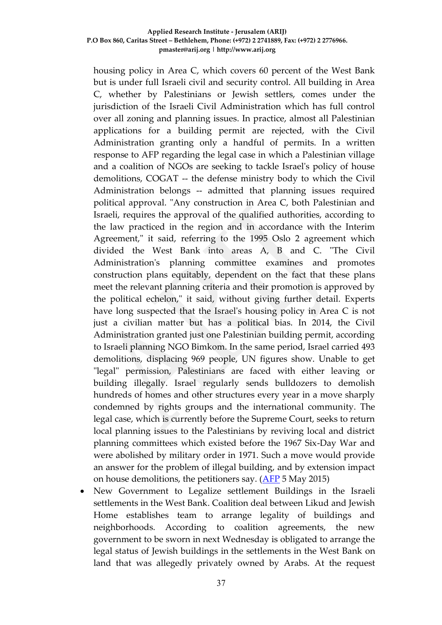housing policy in Area C, which covers 60 percent of the West Bank but is under full Israeli civil and security control. All building in Area C, whether by Palestinians or Jewish settlers, comes under the jurisdiction of the Israeli Civil Administration which has full control over all zoning and planning issues. In practice, almost all Palestinian applications for a building permit are rejected, with the Civil Administration granting only a handful of permits. In a written response to AFP regarding the legal case in which a Palestinian village and a coalition of NGOs are seeking to tackle Israel's policy of house demolitions, COGAT -- the defense ministry body to which the Civil Administration belongs -- admitted that planning issues required political approval. "Any construction in Area C, both Palestinian and Israeli, requires the approval of the qualified authorities, according to the law practiced in the region and in accordance with the Interim Agreement," it said, referring to the 1995 Oslo 2 agreement which divided the West Bank into areas A, B and C. "The Civil Administration's planning committee examines and promotes construction plans equitably, dependent on the fact that these plans meet the relevant planning criteria and their promotion is approved by the political echelon," it said, without giving further detail. Experts have long suspected that the Israel's housing policy in Area C is not just a civilian matter but has a political bias. In 2014, the Civil Administration granted just one Palestinian building permit, according to Israeli planning NGO Bimkom. In the same period, Israel carried 493 demolitions, displacing 969 people, UN figures show. Unable to get "legal" permission, Palestinians are faced with either leaving or building illegally. Israel regularly sends bulldozers to demolish hundreds of homes and other structures every year in a move sharply condemned by rights groups and the international community. The legal case, which is currently before the Supreme Court, seeks to return local planning issues to the Palestinians by reviving local and district planning committees which existed before the 1967 Six-Day War and were abolished by military order in 1971. Such a move would provide an answer for the problem of illegal building, and by extension impact on house demolitions, the petitioners say. [\(AFP](http://news.iafrica.com/worldnews/992186.html) 5 May 2015)

 New Government to Legalize settlement Buildings in the Israeli settlements in the West Bank. Coalition deal between Likud and Jewish Home establishes team to arrange legality of buildings and neighborhoods. According to coalition agreements, the new government to be sworn in next Wednesday is obligated to arrange the legal status of Jewish buildings in the settlements in the West Bank on land that was allegedly privately owned by Arabs. At the request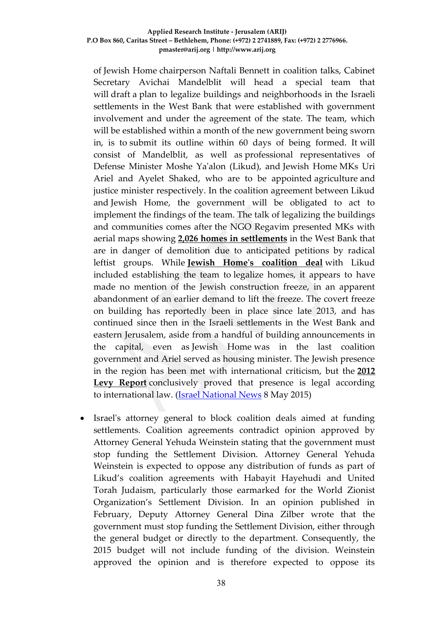of Jewish Home chairperson Naftali Bennett in coalition talks, Cabinet Secretary Avichai Mandelblit will head a special team that will draft a plan to legalize buildings and neighborhoods in the Israeli settlements in the West Bank that were established with government involvement and under the agreement of the state. The team, which will be established within a month of the new government being sworn in, is to submit its outline within 60 days of being formed. It will consist of Mandelblit, as well as professional representatives of Defense Minister Moshe Ya'alon (Likud), and Jewish Home MKs Uri Ariel and Ayelet Shaked, who are to be appointed agriculture and justice minister respectively. In the coalition agreement between Likud and Jewish Home, the government will be obligated to act to implement the findings of the team. The talk of legalizing the buildings and communities comes after the NGO Regavim presented MKs with aerial maps showing **[2,026 homes in settlements](http://www.israelnationalnews.com/News/News.aspx/194881)** in the West Bank that are in danger of demolition due to anticipated petitions by radical leftist groups. While **[Jewish Home's coalition deal](http://www.israelnationalnews.com/News/News.aspx/195118)** with Likud included establishing the team to legalize homes, it appears to have made no mention of the Jewish construction freeze, in an apparent abandonment of an earlier demand to lift the freeze. The covert freeze on building has reportedly been in place since late 2013, and has continued since then in the Israeli settlements in the West Bank and eastern Jerusalem, aside from a handful of building announcements in the capital, even as Jewish Home was in the last coalition government and Ariel served as housing minister. The Jewish presence in the region has been met with international criticism, but the **[2012](http://www.israelnationalnews.com/News/News.aspx/191459)  [Levy Report](http://www.israelnationalnews.com/News/News.aspx/191459)** conclusively proved that presence is legal according to international law. [\(Israel National News](http://www.israelnationalnews.com/News/News.aspx/195180#.VU2qYvmqqko) 8 May 2015)

 Israel's attorney general to block coalition deals aimed at funding settlements. Coalition agreements contradict opinion approved by Attorney General Yehuda Weinstein stating that the government must stop funding the Settlement Division. Attorney General Yehuda Weinstein is expected to oppose any distribution of funds as part of Likud's coalition agreements with Habayit Hayehudi and United Torah Judaism, particularly those earmarked for the World Zionist Organization's Settlement Division. In an opinion published in February, Deputy Attorney General Dina Zilber wrote that the government must stop funding the Settlement Division, either through the general budget or directly to the department. Consequently, the 2015 budget will not include funding of the division. Weinstein approved the opinion and is therefore expected to oppose its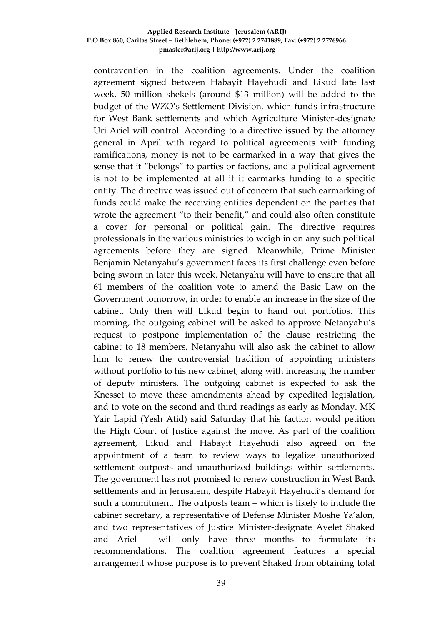contravention in the coalition agreements. Under the coalition agreement signed between Habayit Hayehudi and Likud late last week, 50 million shekels (around \$13 million) will be added to the budget of the WZO's Settlement Division, which funds infrastructure for West Bank settlements and which Agriculture Minister-designate Uri Ariel will control. According to a directive issued by the attorney general in April with regard to political agreements with funding ramifications, money is not to be earmarked in a way that gives the sense that it "belongs" to parties or factions, and a political agreement is not to be implemented at all if it earmarks funding to a specific entity. The directive was issued out of concern that such earmarking of funds could make the receiving entities dependent on the parties that wrote the agreement "to their benefit," and could also often constitute a cover for personal or political gain. The directive requires professionals in the various ministries to weigh in on any such political agreements before they are signed. Meanwhile, Prime Minister Benjamin Netanyahu's government faces its first challenge even before being sworn in later this week. Netanyahu will have to ensure that all 61 members of the coalition vote to amend the Basic Law on the Government tomorrow, in order to enable an increase in the size of the cabinet. Only then will Likud begin to hand out portfolios. This morning, the outgoing cabinet will be asked to approve Netanyahu's request to postpone implementation of the clause restricting the cabinet to 18 members. Netanyahu will also ask the cabinet to allow him to renew the controversial tradition of appointing ministers without portfolio to his new cabinet, along with increasing the number of deputy ministers. The outgoing cabinet is expected to ask the Knesset to move these amendments ahead by expedited legislation, and to vote on the second and third readings as early as Monday. MK Yair Lapid (Yesh Atid) said Saturday that his faction would petition the High Court of Justice against the move. As part of the coalition agreement, Likud and Habayit Hayehudi also agreed on the appointment of a team to review ways to legalize unauthorized settlement outposts and unauthorized buildings within settlements. The government has not promised to renew construction in West Bank settlements and in Jerusalem, despite Habayit Hayehudi's demand for such a commitment. The outposts team – which is likely to include the cabinet secretary, a representative of Defense Minister Moshe Ya'alon, and two representatives of Justice Minister-designate Ayelet Shaked and Ariel – will only have three months to formulate its recommendations. The coalition agreement features a special arrangement whose purpose is to prevent Shaked from obtaining total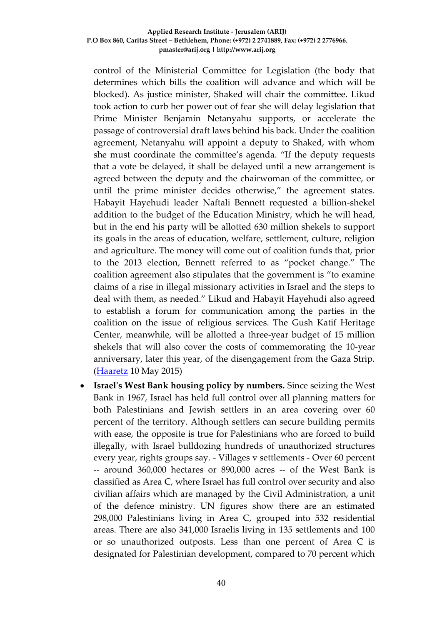control of the Ministerial Committee for Legislation (the body that determines which bills the coalition will advance and which will be blocked). As justice minister, Shaked will chair the committee. Likud took action to curb her power out of fear she will delay legislation that Prime Minister Benjamin Netanyahu supports, or accelerate the passage of controversial draft laws behind his back. Under the coalition agreement, Netanyahu will appoint a deputy to Shaked, with whom she must coordinate the committee's agenda. "If the deputy requests that a vote be delayed, it shall be delayed until a new arrangement is agreed between the deputy and the chairwoman of the committee, or until the prime minister decides otherwise," the agreement states. Habayit Hayehudi leader Naftali Bennett requested a billion-shekel addition to the budget of the Education Ministry, which he will head, but in the end his party will be allotted 630 million shekels to support its goals in the areas of education, welfare, settlement, culture, religion and agriculture. The money will come out of coalition funds that, prior to the 2013 election, Bennett referred to as "pocket change." The coalition agreement also stipulates that the government is "to examine claims of a rise in illegal missionary activities in Israel and the steps to deal with them, as needed." Likud and Habayit Hayehudi also agreed to establish a forum for communication among the parties in the coalition on the issue of religious services. The Gush Katif Heritage Center, meanwhile, will be allotted a three-year budget of 15 million shekels that will also cover the costs of commemorating the 10-year anniversary, later this year, of the disengagement from the Gaza Strip. [\(Haaretz](http://www.haaretz.com/news/israel/.premium-1.655665) 10 May 2015)

 **Israel's West Bank housing policy by numbers.** Since seizing the West Bank in 1967, Israel has held full control over all planning matters for both Palestinians and Jewish settlers in an area covering over 60 percent of the territory. Although settlers can secure building permits with ease, the opposite is true for Palestinians who are forced to build illegally, with Israel bulldozing hundreds of unauthorized structures every year, rights groups say. - Villages v settlements - Over 60 percent -- around 360,000 hectares or 890,000 acres -- of the West Bank is classified as Area C, where Israel has full control over security and also civilian affairs which are managed by the Civil Administration, a unit of the defence ministry. UN figures show there are an estimated 298,000 Palestinians living in Area C, grouped into 532 residential areas. There are also 341,000 Israelis living in 135 settlements and 100 or so unauthorized outposts. Less than one percent of Area C is designated for Palestinian development, compared to 70 percent which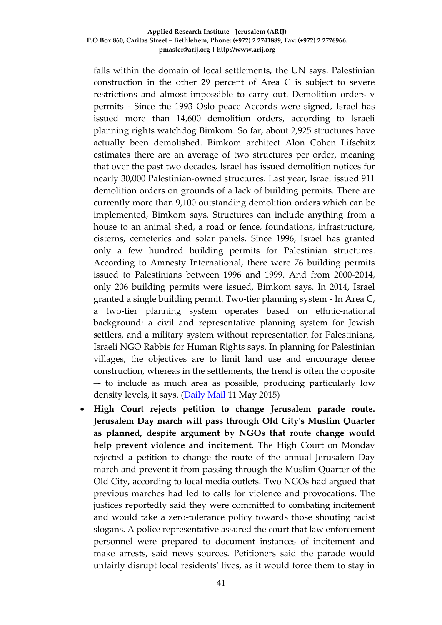falls within the domain of local settlements, the UN says. Palestinian construction in the other 29 percent of Area C is subject to severe restrictions and almost impossible to carry out. Demolition orders v permits - Since the 1993 Oslo peace Accords were signed, Israel has issued more than 14,600 demolition orders, according to Israeli planning rights watchdog Bimkom. So far, about 2,925 structures have actually been demolished. Bimkom architect Alon Cohen Lifschitz estimates there are an average of two structures per order, meaning that over the past two decades, Israel has issued demolition notices for nearly 30,000 Palestinian-owned structures. Last year, Israel issued 911 demolition orders on grounds of a lack of building permits. There are currently more than 9,100 outstanding demolition orders which can be implemented, Bimkom says. Structures can include anything from a house to an animal shed, a road or fence, foundations, infrastructure, cisterns, cemeteries and solar panels. Since 1996, Israel has granted only a few hundred building permits for Palestinian structures. According to Amnesty International, there were 76 building permits issued to Palestinians between 1996 and 1999. And from 2000-2014, only 206 building permits were issued, Bimkom says. In 2014, Israel granted a single building permit. Two-tier planning system - In Area C, a two-tier planning system operates based on ethnic-national background: a civil and representative planning system for Jewish settlers, and a military system without representation for Palestinians, Israeli NGO Rabbis for Human Rights says. In planning for Palestinian villages, the objectives are to limit land use and encourage dense construction, whereas in the settlements, the trend is often the opposite –- to include as much area as possible, producing particularly low density levels, it says. [\(Daily Mail](http://www.dailymail.co.uk/wires/afp/article-3075380/Israels-West-Bank-housing-policy-numbers.html) 11 May 2015)

 **High Court rejects petition to change Jerusalem parade route. Jerusalem Day march will pass through Old City's Muslim Quarter as planned, despite argument by NGOs that route change would help prevent violence and incitement.** The High Court on Monday rejected a petition to change the route of the annual Jerusalem Day march and prevent it from passing through the Muslim Quarter of the Old City, according to local media outlets. Two NGOs had argued that previous marches had led to calls for violence and provocations. The justices reportedly said they were committed to combating incitement and would take a zero-tolerance policy towards those shouting racist slogans. A police representative assured the court that law enforcement personnel were prepared to document instances of incitement and make arrests, said news sources. Petitioners said the parade would unfairly disrupt local residents' lives, as it would force them to stay in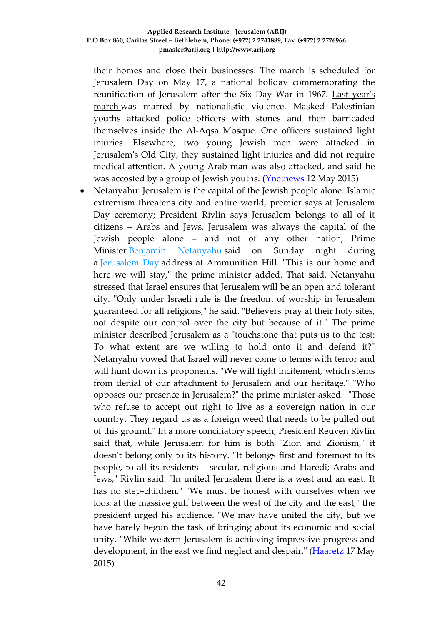their homes and close their businesses. The march is scheduled for Jerusalem Day on May 17, a national holiday commemorating the reunification of Jerusalem after the Six Day War in 1967. [Last year's](http://www.ynetnews.com/articles/0,7340,L-4524679,00.html)  [march](http://www.ynetnews.com/articles/0,7340,L-4524679,00.html) was marred by nationalistic violence. Masked Palestinian youths attacked police officers with stones and then barricaded themselves inside the Al-Aqsa Mosque. One officers sustained light injuries. Elsewhere, two young Jewish men were attacked in Jerusalem's Old City, they sustained light injuries and did not require medical attention. A young Arab man was also attacked, and said he was accosted by a group of Jewish youths. (Ynethews 12 May 2015)

 Netanyahu: Jerusalem is the capital of the Jewish people alone. Islamic extremism threatens city and entire world, premier says at Jerusalem Day ceremony; President Rivlin says Jerusalem belongs to all of it citizens – Arabs and Jews. Jerusalem was always the capital of the Jewish people alone – and not of any other nation, Prime Minister [Benjamin Netanyahu](http://www.haaretz.com/misc/tags/Benjamin%20Netanyahu-1.476753) said on Sunday night during a [Jerusalem Day](http://www.haaretz.com/misc/tags/Jerusalem-1.477062) address at Ammunition Hill. "This is our home and here we will stay," the prime minister added. That said, Netanyahu stressed that Israel ensures that Jerusalem will be an open and tolerant city. "Only under Israeli rule is the freedom of worship in Jerusalem guaranteed for all religions," he said. "Believers pray at their holy sites, not despite our control over the city but because of it." The prime minister described Jerusalem as a "touchstone that puts us to the test: To what extent are we willing to hold onto it and defend it?" Netanyahu vowed that Israel will never come to terms with terror and will hunt down its proponents. "We will fight incitement, which stems from denial of our attachment to Jerusalem and our heritage." "Who opposes our presence in Jerusalem?" the prime minister asked. "Those who refuse to accept out right to live as a sovereign nation in our country. They regard us as a foreign weed that needs to be pulled out of this ground." In a more conciliatory speech, President Reuven Rivlin said that, while Jerusalem for him is both "Zion and Zionism," it doesn't belong only to its history. "It belongs first and foremost to its people, to all its residents – secular, religious and Haredi; Arabs and Jews," Rivlin said. "In united Jerusalem there is a west and an east. It has no step-children." "We must be honest with ourselves when we look at the massive gulf between the west of the city and the east," the president urged his audience. "We may have united the city, but we have barely begun the task of bringing about its economic and social unity. "While western Jerusalem is achieving impressive progress and development, in the east we find neglect and despair." [\(Haaretz](http://www.haaretz.com/news/diplomacy-defense/1.656918) 17 May 2015)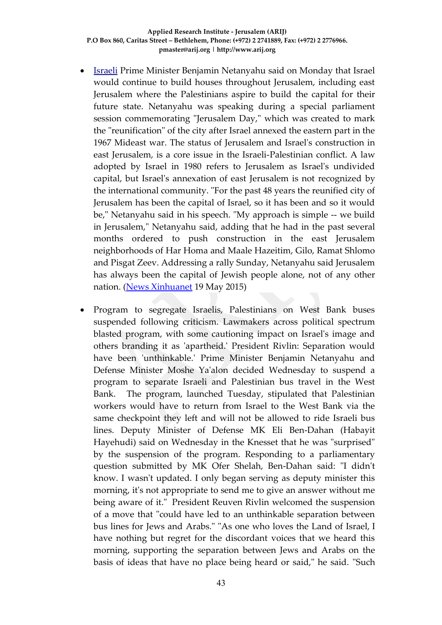- [Israeli](http://search.news.cn/language/search.jspa?id=en&t1=0&t=1&ss=&btn=0&ct=Yemen&n1=Israel&np=content) Prime Minister Benjamin Netanyahu said on Monday that Israel would continue to build houses throughout Jerusalem, including east Jerusalem where the Palestinians aspire to build the capital for their future state. Netanyahu was speaking during a special parliament session commemorating "Jerusalem Day," which was created to mark the "reunification" of the city after Israel annexed the eastern part in the 1967 Mideast war. The status of Jerusalem and Israel's construction in east Jerusalem, is a core issue in the Israeli-Palestinian conflict. A law adopted by Israel in 1980 refers to Jerusalem as Israel's undivided capital, but Israel's annexation of east Jerusalem is not recognized by the international community. "For the past 48 years the reunified city of Jerusalem has been the capital of Israel, so it has been and so it would be," Netanyahu said in his speech. "My approach is simple -- we build in Jerusalem," Netanyahu said, adding that he had in the past several months ordered to push construction in the east Jerusalem neighborhoods of Har Homa and Maale Hazeitim, Gilo, Ramat Shlomo and Pisgat Zeev. Addressing a rally Sunday, Netanyahu said Jerusalem has always been the capital of Jewish people alone, not of any other nation. [\(News Xinhuanet](http://news.xinhuanet.com/english/2015-05/19/c_134249898.htm) 19 May 2015)
- Program to segregate Israelis, Palestinians on West Bank buses suspended following criticism. Lawmakers across political spectrum blasted program, with some cautioning impact on Israel's image and others branding it as 'apartheid.' President Rivlin: Separation would have been 'unthinkable.' Prime Minister Benjamin Netanyahu and Defense Minister Moshe Ya'alon decided Wednesday to suspend a program to separate Israeli and Palestinian bus travel in the West Bank. The program, launched Tuesday, stipulated that Palestinian workers would have to return from Israel to the West Bank via the same checkpoint they left and will not be allowed to ride Israeli bus lines. Deputy Minister of Defense MK Eli Ben-Dahan (Habayit Hayehudi) said on Wednesday in the Knesset that he was "surprised" by the suspension of the program. Responding to a parliamentary question submitted by MK Ofer Shelah, Ben-Dahan said: "I didn't know. I wasn't updated. I only began serving as deputy minister this morning, it's not appropriate to send me to give an answer without me being aware of it." President Reuven Rivlin welcomed the suspension of a move that "could have led to an unthinkable separation between bus lines for Jews and Arabs." "As one who loves the Land of Israel, I have nothing but regret for the discordant voices that we heard this morning, supporting the separation between Jews and Arabs on the basis of ideas that have no place being heard or said," he said. "Such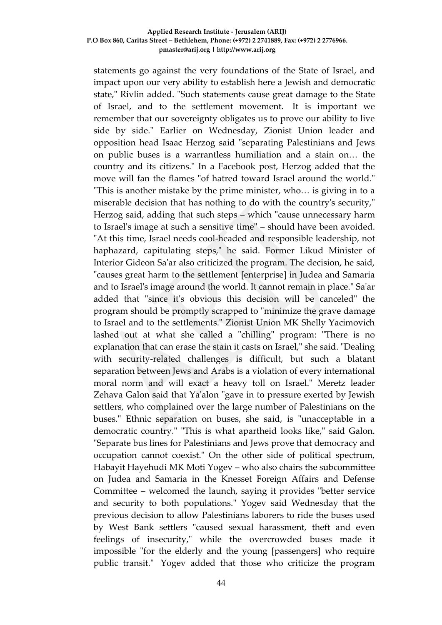statements go against the very foundations of the State of Israel, and impact upon our very ability to establish here a Jewish and democratic state," Rivlin added. "Such statements cause great damage to the State of Israel, and to the settlement movement. It is important we remember that our sovereignty obligates us to prove our ability to live side by side." Earlier on Wednesday, Zionist Union leader and opposition head Isaac Herzog said "separating Palestinians and Jews on public buses is a warrantless humiliation and a stain on… the country and its citizens." In a Facebook post, Herzog added that the move will fan the flames "of hatred toward Israel around the world." "This is another mistake by the prime minister, who… is giving in to a miserable decision that has nothing to do with the country's security," Herzog said, adding that such steps – which "cause unnecessary harm to Israel's image at such a sensitive time" – should have been avoided. "At this time, Israel needs cool-headed and responsible leadership, not haphazard, capitulating steps," he said. Former Likud Minister of Interior Gideon Sa'ar also criticized the program. The decision, he said, "causes great harm to the settlement [enterprise] in Judea and Samaria and to Israel's image around the world. It cannot remain in place." Sa'ar added that "since it's obvious this decision will be canceled" the program should be promptly scrapped to "minimize the grave damage to Israel and to the settlements." Zionist Union MK Shelly Yacimovich lashed out at what she called a "chilling" program: "There is no explanation that can erase the stain it casts on Israel," she said. "Dealing with security-related challenges is difficult, but such a blatant separation between Jews and Arabs is a violation of every international moral norm and will exact a heavy toll on Israel." Meretz leader Zehava Galon said that Ya'alon "gave in to pressure exerted by Jewish settlers, who complained over the large number of Palestinians on the buses." Ethnic separation on buses, she said, is "unacceptable in a democratic country." "This is what apartheid looks like," said Galon. "Separate bus lines for Palestinians and Jews prove that democracy and occupation cannot coexist." On the other side of political spectrum, Habayit Hayehudi MK Moti Yogev – who also chairs the subcommittee on Judea and Samaria in the Knesset Foreign Affairs and Defense Committee – welcomed the launch, saying it provides "better service and security to both populations." Yogev said Wednesday that the previous decision to allow Palestinians laborers to ride the buses used by West Bank settlers "caused sexual harassment, theft and even feelings of insecurity," while the overcrowded buses made it impossible "for the elderly and the young [passengers] who require public transit." Yogev added that those who criticize the program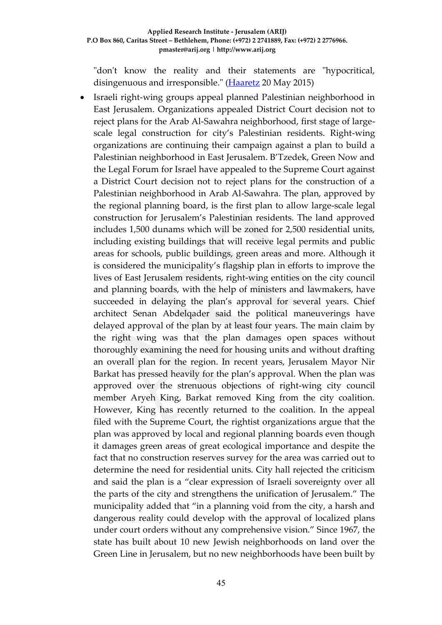"don't know the reality and their statements are "hypocritical, disingenuous and irresponsible." [\(Haaretz](http://www.haaretz.com/news/diplomacy-defense/1.657289) 20 May 2015)

 Israeli right-wing groups appeal planned Palestinian neighborhood in East Jerusalem. Organizations appealed District Court decision not to reject plans for the Arab Al-Sawahra neighborhood, first stage of largescale legal construction for city's Palestinian residents. Right-wing organizations are continuing their campaign against a plan to build a Palestinian neighborhood in East Jerusalem. B'Tzedek, Green Now and the Legal Forum for Israel have appealed to the Supreme Court against a District Court decision not to reject plans for the construction of a Palestinian neighborhood in Arab Al-Sawahra. The plan, approved by the regional planning board, is the first plan to allow large-scale legal construction for Jerusalem's Palestinian residents. The land approved includes 1,500 dunams which will be zoned for 2,500 residential units, including existing buildings that will receive legal permits and public areas for schools, public buildings, green areas and more. Although it is considered the municipality's flagship plan in efforts to improve the lives of East Jerusalem residents, right-wing entities on the city council and planning boards, with the help of ministers and lawmakers, have succeeded in delaying the plan's approval for several years. Chief architect Senan Abdelqader said the political maneuverings have delayed approval of the plan by at least four years. The main claim by the right wing was that the plan damages open spaces without thoroughly examining the need for housing units and without drafting an overall plan for the region. In recent years, Jerusalem Mayor Nir Barkat has pressed heavily for the plan's approval. When the plan was approved over the strenuous objections of right-wing city council member Aryeh King, Barkat removed King from the city coalition. However, King has recently returned to the coalition. In the appeal filed with the Supreme Court, the rightist organizations argue that the plan was approved by local and regional planning boards even though it damages green areas of great ecological importance and despite the fact that no construction reserves survey for the area was carried out to determine the need for residential units. City hall rejected the criticism and said the plan is a "clear expression of Israeli sovereignty over all the parts of the city and strengthens the unification of Jerusalem." The municipality added that "in a planning void from the city, a harsh and dangerous reality could develop with the approval of localized plans under court orders without any comprehensive vision." Since 1967, the state has built about 10 new Jewish neighborhoods on land over the Green Line in Jerusalem, but no new neighborhoods have been built by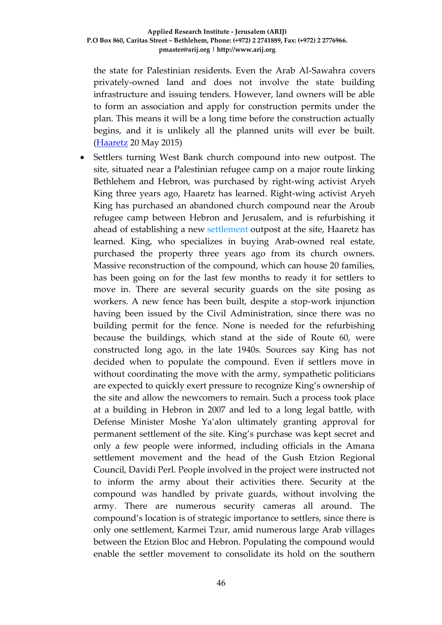the state for Palestinian residents. Even the Arab Al-Sawahra covers privately-owned land and does not involve the state building infrastructure and issuing tenders. However, land owners will be able to form an association and apply for construction permits under the plan. This means it will be a long time before the construction actually begins, and it is unlikely all the planned units will ever be built. [\(Haaretz](http://www.haaretz.com/news/israel/.premium-1.657255) 20 May 2015)

 Settlers turning West Bank church compound into new outpost. The site, situated near a Palestinian refugee camp on a major route linking Bethlehem and Hebron, was purchased by right-wing activist Aryeh King three years ago, Haaretz has learned. Right-wing activist Aryeh King has purchased an abandoned church compound near the Aroub refugee camp between Hebron and Jerusalem, and is refurbishing it ahead of establishing a new [settlement](http://www.haaretz.com/misc/tags/Israel%20settlements-1.477056) outpost at the site, Haaretz has learned. King, who specializes in buying Arab-owned real estate, purchased the property three years ago from its church owners. Massive reconstruction of the compound, which can house 20 families, has been going on for the last few months to ready it for settlers to move in. There are several security guards on the site posing as workers. A new fence has been built, despite a stop-work injunction having been issued by the Civil Administration, since there was no building permit for the fence. None is needed for the refurbishing because the buildings, which stand at the side of Route 60, were constructed long ago, in the late 1940s. Sources say King has not decided when to populate the compound. Even if settlers move in without coordinating the move with the army, sympathetic politicians are expected to quickly exert pressure to recognize King's ownership of the site and allow the newcomers to remain. Such a process took place at a building in Hebron in 2007 and led to a long legal battle, with Defense Minister Moshe Ya'alon ultimately granting approval for permanent settlement of the site. King's purchase was kept secret and only a few people were informed, including officials in the Amana settlement movement and the head of the Gush Etzion Regional Council, Davidi Perl. People involved in the project were instructed not to inform the army about their activities there. Security at the compound was handled by private guards, without involving the army. There are numerous security cameras all around. The compound's location is of strategic importance to settlers, since there is only one settlement, Karmei Tzur, amid numerous large Arab villages between the Etzion Bloc and Hebron. Populating the compound would enable the settler movement to consolidate its hold on the southern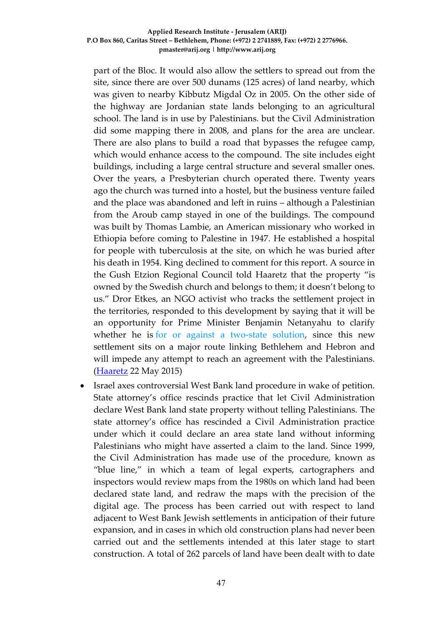part of the Bloc. It would also allow the settlers to spread out from the site, since there are over 500 dunams (125 acres) of land nearby, which was given to nearby Kibbutz Migdal Oz in 2005. On the other side of the highway are Jordanian state lands belonging to an agricultural school. The land is in use by Palestinians. but the Civil Administration did some mapping there in 2008, and plans for the area are unclear. There are also plans to build a road that bypasses the refugee camp, which would enhance access to the compound. The site includes eight buildings, including a large central structure and several smaller ones. Over the years, a Presbyterian church operated there. Twenty years ago the church was turned into a hostel, but the business venture failed and the place was abandoned and left in ruins – although a Palestinian from the Aroub camp stayed in one of the buildings. The compound was built by Thomas Lambie, an American missionary who worked in Ethiopia before coming to Palestine in 1947. He established a hospital for people with tuberculosis at the site, on which he was buried after his death in 1954. King declined to comment for this report. A source in the Gush Etzion Regional Council told Haaretz that the property "is owned by the Swedish church and belongs to them; it doesn't belong to us." Dror Etkes, an NGO activist who tracks the settlement project in the territories, responded to this development by saying that it will be an opportunity for Prime Minister Benjamin Netanyahu to clarify whether he is [for or against a two-state solution,](http://www.haaretz.com/news/diplomacy-defense/.premium-1.657407) since this new settlement sits on a major route linking Bethlehem and Hebron and will impede any attempt to reach an agreement with the Palestinians. [\(Haaretz](http://www.haaretz.com/news/diplomacy-defense/.premium-1.657700) 22 May 2015)

 Israel axes controversial West Bank land procedure in wake of petition. State attorney's office rescinds practice that let Civil Administration declare West Bank land state property without telling Palestinians. The state attorney's office has rescinded a Civil Administration practice under which it could declare an area state land without informing Palestinians who might have asserted a claim to the land. Since 1999, the Civil Administration has made use of the procedure, known as "blue line," in which a team of legal experts, cartographers and inspectors would review maps from the 1980s on which land had been declared state land, and redraw the maps with the precision of the digital age. The process has been carried out with respect to land adjacent to West Bank Jewish settlements in anticipation of their future expansion, and in cases in which old construction plans had never been carried out and the settlements intended at this later stage to start construction. A total of 262 parcels of land have been dealt with to date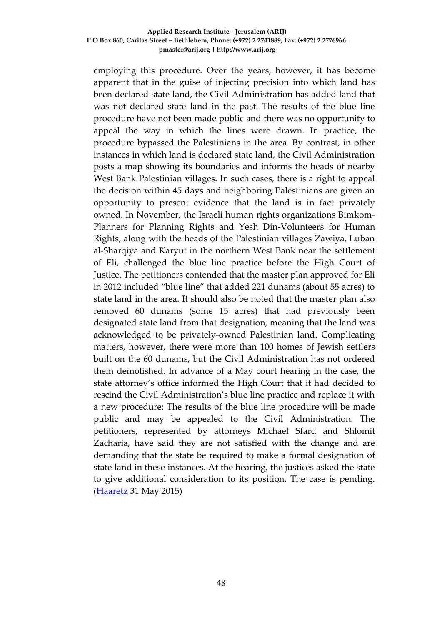employing this procedure. Over the years, however, it has become apparent that in the guise of injecting precision into which land has been declared state land, the Civil Administration has added land that was not declared state land in the past. The results of the blue line procedure have not been made public and there was no opportunity to appeal the way in which the lines were drawn. In practice, the procedure bypassed the Palestinians in the area. By contrast, in other instances in which land is declared state land, the Civil Administration posts a map showing its boundaries and informs the heads of nearby West Bank Palestinian villages. In such cases, there is a right to appeal the decision within 45 days and neighboring Palestinians are given an opportunity to present evidence that the land is in fact privately owned. In November, the Israeli human rights organizations Bimkom-Planners for Planning Rights and Yesh Din-Volunteers for Human Rights, along with the heads of the Palestinian villages Zawiya, Luban al-Sharqiya and Karyut in the northern West Bank near the settlement of Eli, challenged the blue line practice before the High Court of Justice. The petitioners contended that the master plan approved for Eli in 2012 included "blue line" that added 221 dunams (about 55 acres) to state land in the area. It should also be noted that the master plan also removed 60 dunams (some 15 acres) that had previously been designated state land from that designation, meaning that the land was acknowledged to be privately-owned Palestinian land. Complicating matters, however, there were more than 100 homes of Jewish settlers built on the 60 dunams, but the Civil Administration has not ordered them demolished. In advance of a May court hearing in the case, the state attorney's office informed the High Court that it had decided to rescind the Civil Administration's blue line practice and replace it with a new procedure: The results of the blue line procedure will be made public and may be appealed to the Civil Administration. The petitioners, represented by attorneys Michael Sfard and Shlomit Zacharia, have said they are not satisfied with the change and are demanding that the state be required to make a formal designation of state land in these instances. At the hearing, the justices asked the state to give additional consideration to its position. The case is pending. [\(Haaretz](http://www.haaretz.com/news/israel/.premium-1.658863) 31 May 2015)